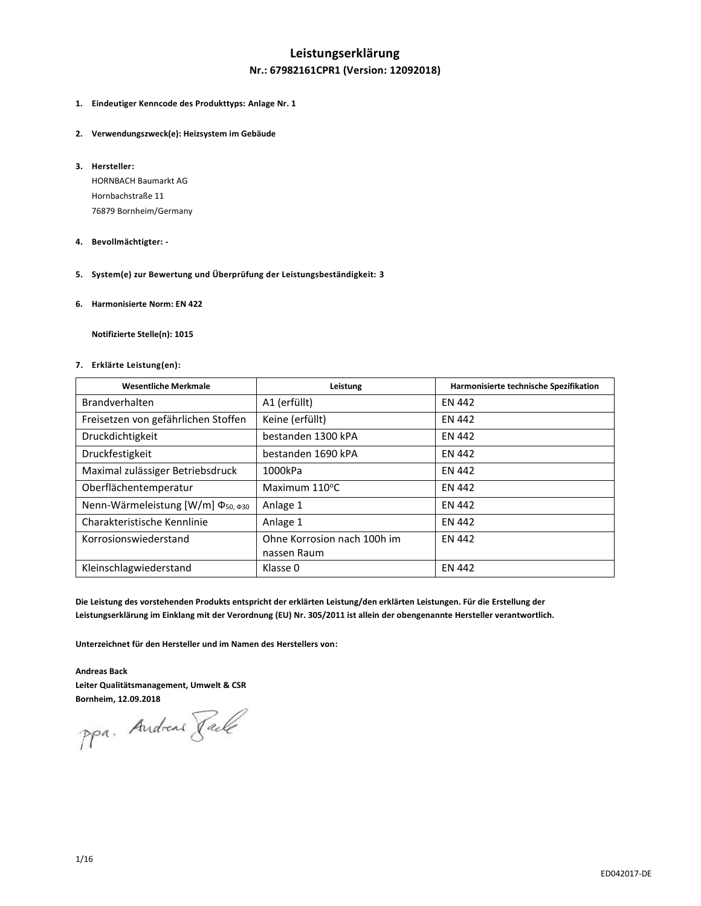# **Leistungserklärung**

### **Nr.: 67982161CPR1 (Version: 12092018)**

- **1. Eindeutiger Kenncode des Produkttyps: Anlage Nr. 1**
- **2. Verwendungszweck(e): Heizsystem im Gebäude**
- **3. Hersteller:**

HORNBACH Baumarkt AG Hornbachstraße 11 76879 Bornheim/Germany

- **4. Bevollmächtigter: -**
- **5. System(e) zur Bewertung und Überprüfung der Leistungsbeständigkeit: 3**
- **6. Harmonisierte Norm: EN 422**

**Notifizierte Stelle(n): 1015**

#### **7. Erklärte Leistung(en):**

| <b>Wesentliche Merkmale</b>                   | Leistung                                   | Harmonisierte technische Spezifikation |
|-----------------------------------------------|--------------------------------------------|----------------------------------------|
| Brandverhalten                                | A1 (erfüllt)                               | <b>EN 442</b>                          |
| Freisetzen von gefährlichen Stoffen           | Keine (erfüllt)                            | <b>EN 442</b>                          |
| Druckdichtigkeit                              | bestanden 1300 kPA                         | <b>EN 442</b>                          |
| Druckfestigkeit                               | bestanden 1690 kPA                         | <b>EN 442</b>                          |
| Maximal zulässiger Betriebsdruck              | 1000kPa                                    | <b>EN 442</b>                          |
| Oberflächentemperatur                         | Maximum $110^{\circ}$ C                    | <b>EN 442</b>                          |
| Nenn-Wärmeleistung [W/m] Φ <sub>50, Φ30</sub> | Anlage 1                                   | <b>EN 442</b>                          |
| Charakteristische Kennlinie                   | Anlage 1                                   | <b>EN 442</b>                          |
| Korrosionswiederstand                         | Ohne Korrosion nach 100h im<br>nassen Raum | <b>EN 442</b>                          |
| Kleinschlagwiederstand                        | Klasse 0                                   | <b>EN 442</b>                          |

**Die Leistung des vorstehenden Produkts entspricht der erklärten Leistung/den erklärten Leistungen. Für die Erstellung der Leistungserklärung im Einklang mit der Verordnung (EU) Nr. 305/2011 ist allein der obengenannte Hersteller verantwortlich.**

**Unterzeichnet für den Hersteller und im Namen des Herstellers von:**

**Andreas Back Leiter Qualitätsmanagement, Umwelt & CSR**

**Bornheim, 12.09.2018**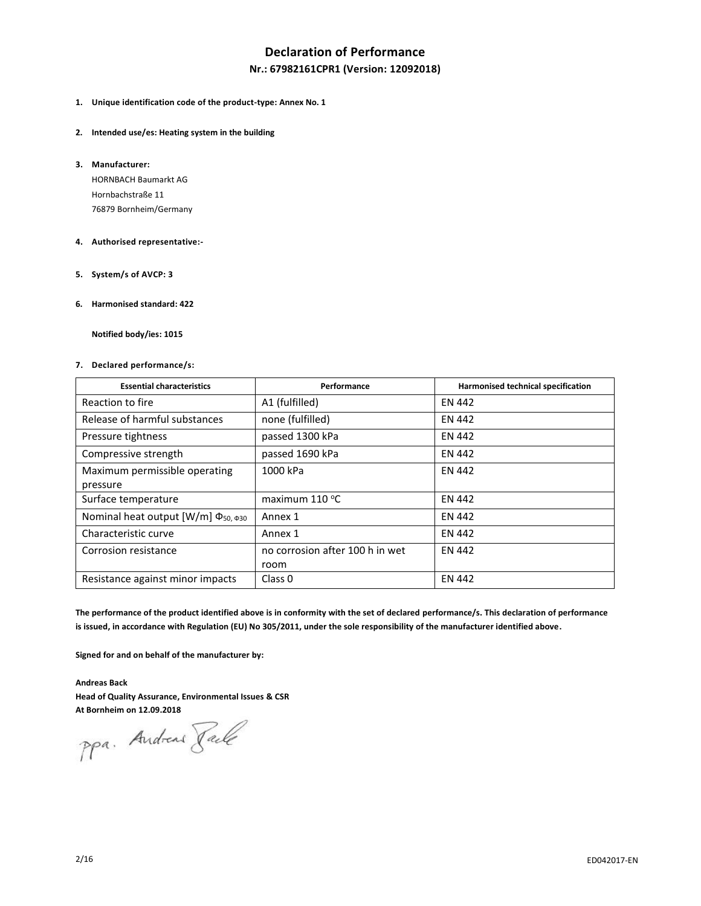# **Declaration of Performance**

### **Nr.: 67982161CPR1 (Version: 12092018)**

- **1. Unique identification code of the product-type: Annex No. 1**
- **2. Intended use/es: Heating system in the building**
- **3. Manufacturer:**

HORNBACH Baumarkt AG Hornbachstraße 11 76879 Bornheim/Germany

- **4. Authorised representative:-**
- **5. System/s of AVCP: 3**
- **6. Harmonised standard: 422**

**Notified body/ies: 1015**

**7. Declared performance/s:**

| <b>Essential characteristics</b>                                    | Performance                     | Harmonised technical specification |
|---------------------------------------------------------------------|---------------------------------|------------------------------------|
| Reaction to fire                                                    | A1 (fulfilled)                  | <b>EN 442</b>                      |
| Release of harmful substances                                       | none (fulfilled)                | <b>EN 442</b>                      |
| Pressure tightness                                                  | passed 1300 kPa                 | <b>EN 442</b>                      |
| Compressive strength                                                | passed 1690 kPa                 | <b>EN 442</b>                      |
| Maximum permissible operating                                       | 1000 kPa                        | <b>EN 442</b>                      |
| pressure                                                            |                                 |                                    |
| Surface temperature                                                 | maximum $110^{\circ}$ C         | <b>EN 442</b>                      |
| Nominal heat output [W/m] $\Phi$ <sub>50, <math>\Phi</math>30</sub> | Annex 1                         | <b>EN 442</b>                      |
| Characteristic curve                                                | Annex 1                         | <b>EN 442</b>                      |
| Corrosion resistance                                                | no corrosion after 100 h in wet | <b>EN 442</b>                      |
|                                                                     | room                            |                                    |
| Resistance against minor impacts                                    | Class <sub>0</sub>              | <b>EN 442</b>                      |

**The performance of the product identified above is in conformity with the set of declared performance/s. This declaration of performance is issued, in accordance with Regulation (EU) No 305/2011, under the sole responsibility of the manufacturer identified above.**

**Signed for and on behalf of the manufacturer by:**

**Andreas Back Head of Quality Assurance, Environmental Issues & CSR**

**At Bornheim on 12.09.2018**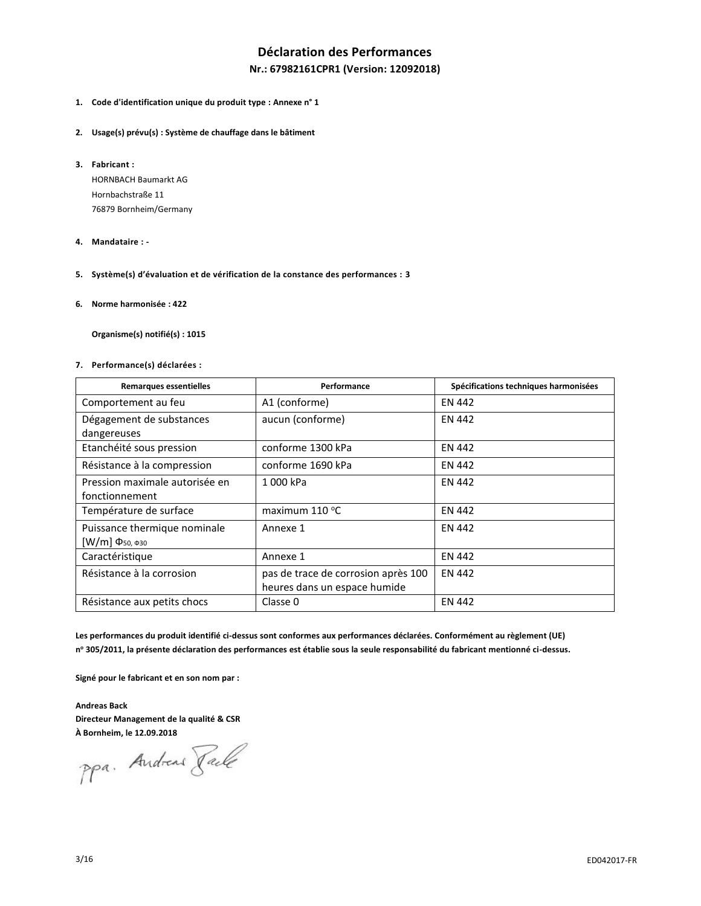# **Déclaration des Performances**

### **Nr.: 67982161CPR1 (Version: 12092018)**

- **1. Code d'identification unique du produit type : Annexe n° 1**
- **2. Usage(s) prévu(s) : Système de chauffage dans le bâtiment**
- **3. Fabricant :**

HORNBACH Baumarkt AG Hornbachstraße 11 76879 Bornheim/Germany

- **4. Mandataire : -**
- **5. Système(s) d'évaluation et de vérification de la constance des performances : 3**
- **6. Norme harmonisée : 422**

**Organisme(s) notifié(s) : 1015**

**7. Performance(s) déclarées :**

| <b>Remarques essentielles</b>                                | Performance                                                         | Spécifications techniques harmonisées |
|--------------------------------------------------------------|---------------------------------------------------------------------|---------------------------------------|
| Comportement au feu                                          | A1 (conforme)                                                       | <b>EN 442</b>                         |
| Dégagement de substances<br>dangereuses                      | aucun (conforme)                                                    | <b>EN 442</b>                         |
| Etanchéité sous pression                                     | conforme 1300 kPa                                                   | <b>EN 442</b>                         |
| Résistance à la compression                                  | conforme 1690 kPa                                                   | <b>EN 442</b>                         |
| Pression maximale autorisée en<br>fonctionnement             | 1000 kPa                                                            | <b>EN 442</b>                         |
| Température de surface                                       | maximum $110^{\circ}$ C                                             | <b>EN 442</b>                         |
| Puissance thermique nominale<br>[W/m] $Φ$ <sub>50, Φ30</sub> | Annexe 1                                                            | <b>EN 442</b>                         |
| Caractéristique                                              | Annexe 1                                                            | <b>EN 442</b>                         |
| Résistance à la corrosion                                    | pas de trace de corrosion après 100<br>heures dans un espace humide | <b>EN 442</b>                         |
| Résistance aux petits chocs                                  | Classe 0                                                            | <b>EN 442</b>                         |

**Les performances du produit identifié ci-dessus sont conformes aux performances déclarées. Conformément au règlement (UE) n <sup>o</sup> 305/2011, la présente déclaration des performances est établie sous la seule responsabilité du fabricant mentionné ci-dessus.**

**Signé pour le fabricant et en son nom par :**

**Andreas Back Directeur Management de la qualité & CSR**

**À Bornheim, le 12.09.2018**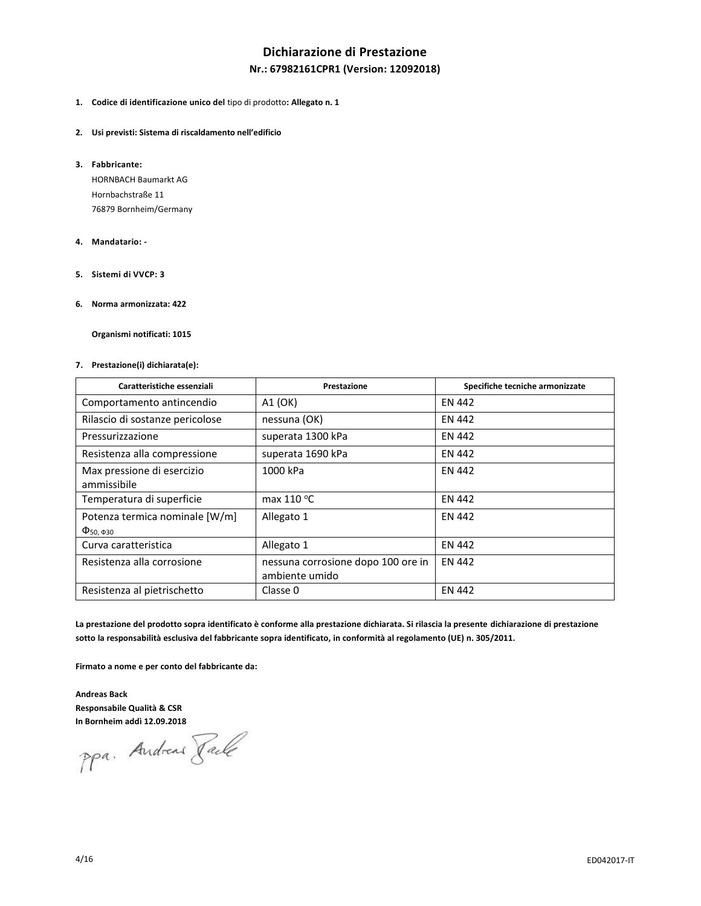# **Dichiarazione di Prestazione**

### **Nr.: 67982161CPR1 (Version: 12092018)**

- **1. Codice di identificazione unico del** tipo di prodotto**: Allegato n. 1**
- **2. Usi previsti: Sistema di riscaldamento nell'edificio**
- **3. Fabbricante:**

HORNBACH Baumarkt AG Hornbachstraße 11 76879 Bornheim/Germany

- **4. Mandatario: -**
- **5. Sistemi di VVCP: 3**
- **6. Norma armonizzata: 422**

**Organismi notificati: 1015**

#### **7. Prestazione(i) dichiarata(e):**

| Caratteristiche essenziali                                                  | Prestazione                                          | Specifiche tecniche armonizzate |
|-----------------------------------------------------------------------------|------------------------------------------------------|---------------------------------|
| Comportamento antincendio                                                   | A1 (OK)                                              | EN 442                          |
| Rilascio di sostanze pericolose                                             | nessuna (OK)                                         | <b>EN 442</b>                   |
| Pressurizzazione                                                            | superata 1300 kPa                                    | <b>EN 442</b>                   |
| Resistenza alla compressione                                                | superata 1690 kPa                                    | <b>EN 442</b>                   |
| Max pressione di esercizio<br>ammissibile                                   | 1000 kPa                                             | <b>EN 442</b>                   |
| Temperatura di superficie                                                   | max $110^{\circ}$ C                                  | <b>EN 442</b>                   |
| Potenza termica nominale [W/m]<br>$\Phi$ <sub>50</sub> $\Phi$ <sub>30</sub> | Allegato 1                                           | <b>EN 442</b>                   |
| Curva caratteristica                                                        | Allegato 1                                           | <b>EN 442</b>                   |
| Resistenza alla corrosione                                                  | nessuna corrosione dopo 100 ore in<br>ambiente umido | <b>EN 442</b>                   |
| Resistenza al pietrischetto                                                 | Classe 0                                             | <b>EN 442</b>                   |

**La prestazione del prodotto sopra identificato è conforme alla prestazione dichiarata. Si rilascia la presente dichiarazione di prestazione sotto la responsabilità esclusiva del fabbricante sopra identificato, in conformità al regolamento (UE) n. 305/2011.**

**Firmato a nome e per conto del fabbricante da:**

**Andreas Back Responsabile Qualità & CSR**

**In Bornheim addì 12.09.2018**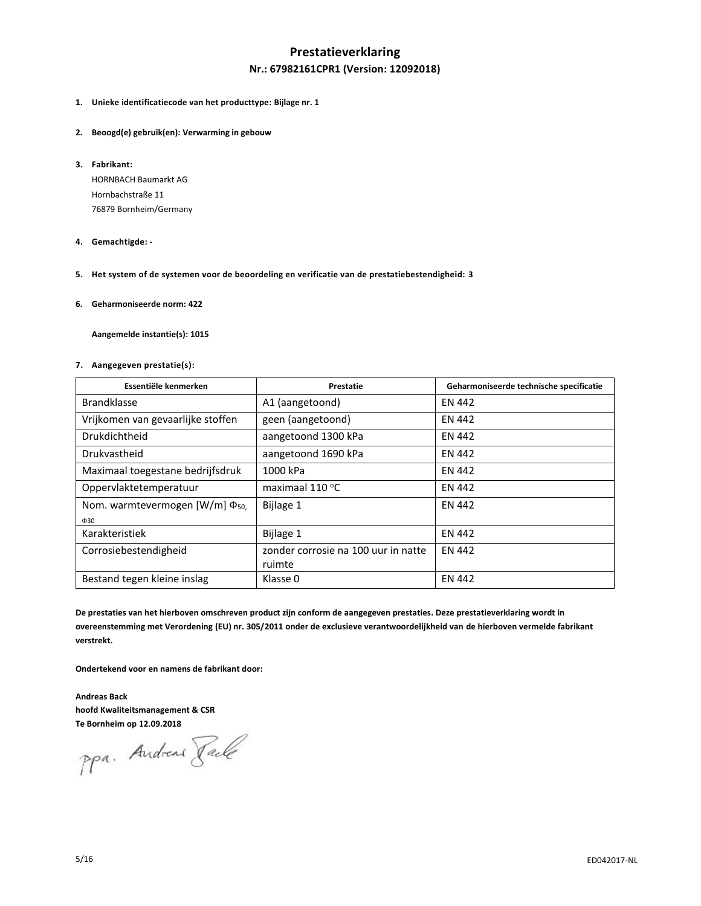### **Prestatieverklaring**

### **Nr.: 67982161CPR1 (Version: 12092018)**

- **1. Unieke identificatiecode van het producttype: Bijlage nr. 1**
- **2. Beoogd(e) gebruik(en): Verwarming in gebouw**
- **3. Fabrikant:**

HORNBACH Baumarkt AG Hornbachstraße 11 76879 Bornheim/Germany

- **4. Gemachtigde: -**
- **5. Het system of de systemen voor de beoordeling en verificatie van de prestatiebestendigheid: 3**
- **6. Geharmoniseerde norm: 422**

**Aangemelde instantie(s): 1015**

#### **7. Aangegeven prestatie(s):**

| Essentiële kenmerken                  | Prestatie                           | Geharmoniseerde technische specificatie |  |
|---------------------------------------|-------------------------------------|-----------------------------------------|--|
| <b>Brandklasse</b>                    | A1 (aangetoond)                     | <b>EN 442</b>                           |  |
| Vrijkomen van gevaarlijke stoffen     | geen (aangetoond)                   | <b>EN 442</b>                           |  |
| <b>Drukdichtheid</b>                  | aangetoond 1300 kPa                 | <b>EN 442</b>                           |  |
| Drukvastheid                          | aangetoond 1690 kPa                 | <b>EN 442</b>                           |  |
| Maximaal toegestane bedrijfsdruk      | 1000 kPa                            | <b>EN 442</b>                           |  |
| Oppervlaktetemperatuur                | maximaal 110 °C                     | <b>EN 442</b>                           |  |
| Nom. warmtevermogen $[W/m] \Phi_{50}$ | Bijlage 1                           | <b>EN 442</b>                           |  |
| $\Phi$ 30                             |                                     |                                         |  |
| Karakteristiek                        | Bijlage 1                           | <b>EN 442</b>                           |  |
| Corrosiebestendigheid                 | zonder corrosie na 100 uur in natte | <b>EN 442</b>                           |  |
|                                       | ruimte                              |                                         |  |
| Bestand tegen kleine inslag           | Klasse 0                            | <b>EN 442</b>                           |  |

**De prestaties van het hierboven omschreven product zijn conform de aangegeven prestaties. Deze prestatieverklaring wordt in overeenstemming met Verordening (EU) nr. 305/2011 onder de exclusieve verantwoordelijkheid van de hierboven vermelde fabrikant verstrekt.**

**Ondertekend voor en namens de fabrikant door:**

**Andreas Back hoofd Kwaliteitsmanagement & CSR**

**Te Bornheim op 12.09.2018**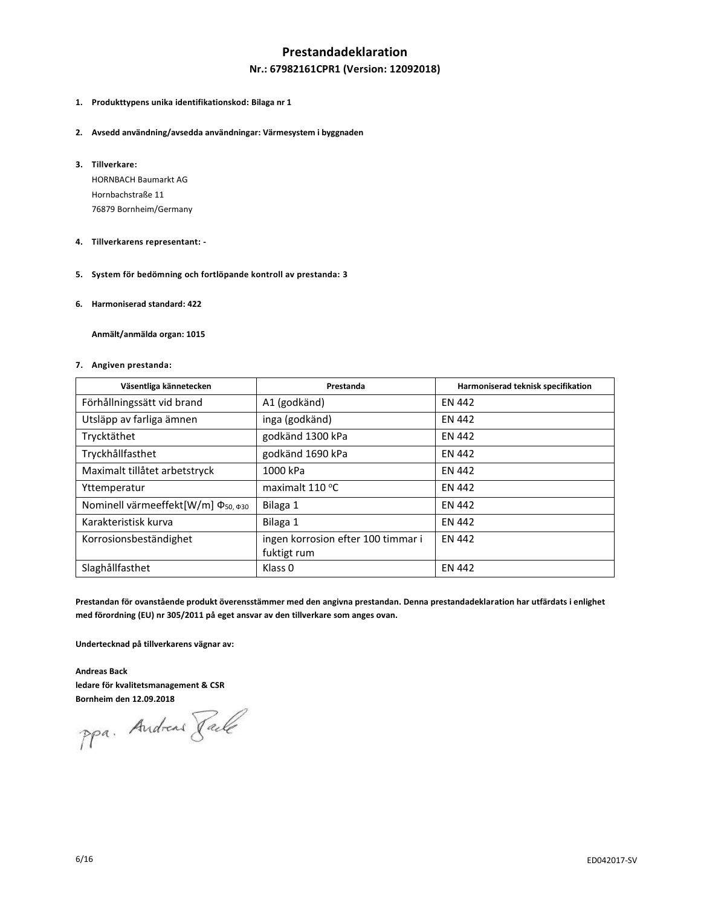### **Prestandadeklaration**

#### **Nr.: 67982161CPR1 (Version: 12092018)**

- **1. Produkttypens unika identifikationskod: Bilaga nr 1**
- **2. Avsedd användning/avsedda användningar: Värmesystem i byggnaden**
- **3. Tillverkare:**

HORNBACH Baumarkt AG Hornbachstraße 11 76879 Bornheim/Germany

- **4. Tillverkarens representant: -**
- **5. System för bedömning och fortlöpande kontroll av prestanda: 3**
- **6. Harmoniserad standard: 422**

**Anmält/anmälda organ: 1015**

#### **7. Angiven prestanda:**

| Väsentliga kännetecken                         | Prestanda                          | Harmoniserad teknisk specifikation |
|------------------------------------------------|------------------------------------|------------------------------------|
| Förhållningssätt vid brand                     | A1 (godkänd)                       | <b>EN 442</b>                      |
| Utsläpp av farliga ämnen                       | inga (godkänd)                     | <b>EN 442</b>                      |
| Trycktäthet                                    | godkänd 1300 kPa                   | <b>EN 442</b>                      |
| Tryckhållfasthet                               | godkänd 1690 kPa                   | <b>EN 442</b>                      |
| Maximalt tillåtet arbetstryck                  | 1000 kPa                           | <b>EN 442</b>                      |
| Yttemperatur                                   | maximalt $110^{\circ}$ C           | <b>EN 442</b>                      |
| Nominell värmeeffekt[W/m] Φ <sub>50, Φ30</sub> | Bilaga 1                           | <b>EN 442</b>                      |
| Karakteristisk kurva                           | Bilaga 1                           | <b>EN 442</b>                      |
| Korrosionsbeständighet                         | ingen korrosion efter 100 timmar i | <b>EN 442</b>                      |
|                                                | fuktigt rum                        |                                    |
| Slaghållfasthet                                | Klass <sub>0</sub>                 | <b>EN 442</b>                      |

**Prestandan för ovanstående produkt överensstämmer med den angivna prestandan. Denna prestandadeklaration har utfärdats i enlighet med förordning (EU) nr 305/2011 på eget ansvar av den tillverkare som anges ovan.**

**Undertecknad på tillverkarens vägnar av:**

**Andreas Back ledare för kvalitetsmanagement & CSR**

**Bornheim den 12.09.2018**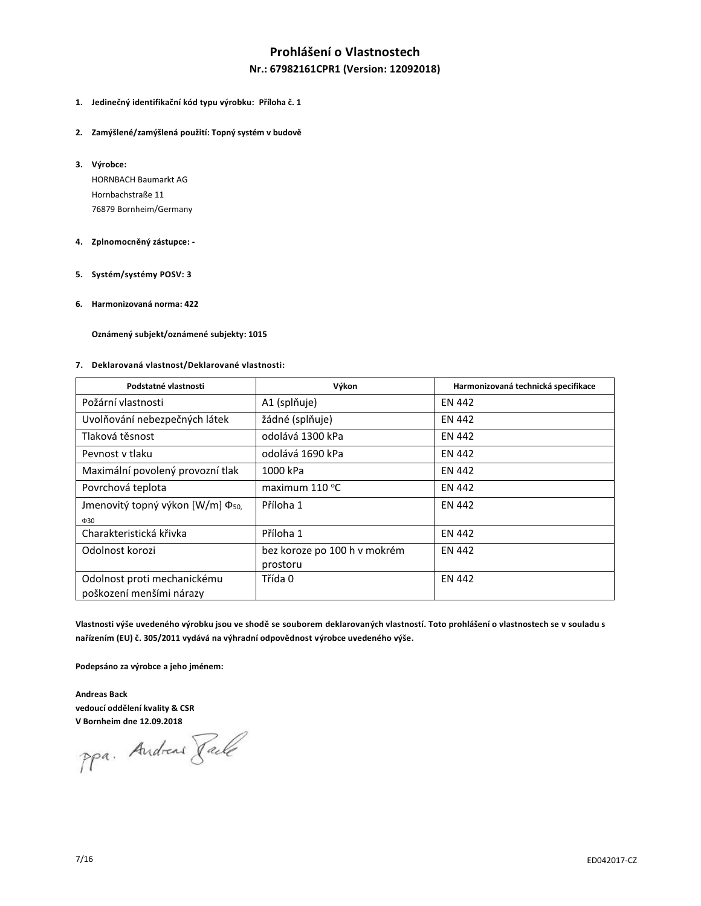# **Prohlášení o Vlastnostech**

#### **Nr.: 67982161CPR1 (Version: 12092018)**

- **1. Jedinečný identifikační kód typu výrobku: Příloha č. 1**
- **2. Zamýšlené/zamýšlená použití: Topný systém v budově**
- **3. Výrobce:**

HORNBACH Baumarkt AG Hornbachstraße 11 76879 Bornheim/Germany

#### **4. Zplnomocněný zástupce: -**

- **5. Systém/systémy POSV: 3**
- **6. Harmonizovaná norma: 422**

**Oznámený subjekt/oznámené subjekty: 1015**

#### **7. Deklarovaná vlastnost/Deklarované vlastnosti:**

| Podstatné vlastnosti                         | Výkon                        | Harmonizovaná technická specifikace |  |
|----------------------------------------------|------------------------------|-------------------------------------|--|
| Požární vlastnosti                           | A1 (splňuje)                 | <b>EN 442</b>                       |  |
| Uvolňování nebezpečných látek                | žádné (splňuje)              | EN 442                              |  |
| Tlaková těsnost                              | odolává 1300 kPa             | EN 442                              |  |
| Peynost y tlaku                              | odolává 1690 kPa             | <b>EN 442</b>                       |  |
| Maximální povolený provozní tlak             | 1000 kPa                     | <b>EN 442</b>                       |  |
| Povrchová teplota                            | maximum $110^{\circ}$ C      | <b>EN 442</b>                       |  |
| Jmenovitý topný výkon [W/m] Φ <sub>50,</sub> | Příloha 1                    | EN 442                              |  |
| $\Phi$ 30                                    |                              |                                     |  |
| Charakteristická křivka                      | Příloha 1                    | <b>EN 442</b>                       |  |
| Odolnost korozi                              | bez koroze po 100 h v mokrém | <b>EN 442</b>                       |  |
|                                              | prostoru                     |                                     |  |
| Odolnost proti mechanickému                  | Třída 0                      | <b>EN 442</b>                       |  |
| poškození menšími nárazy                     |                              |                                     |  |

**Vlastnosti výše uvedeného výrobku jsou ve shodě se souborem deklarovaných vlastností. Toto prohlášení o vlastnostech se v souladu s nařízením (EU) č. 305/2011 vydává na výhradní odpovědnost výrobce uvedeného výše.**

**Podepsáno za výrobce a jeho jménem:**

**Andreas Back vedoucí oddělení kvality & CSR**

**V Bornheim dne 12.09.2018**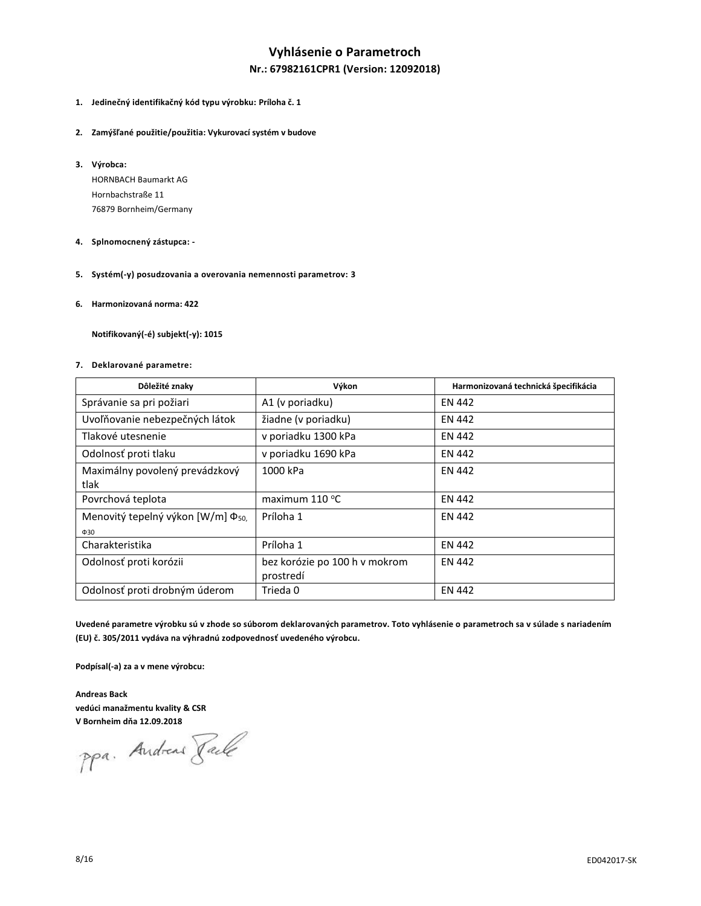# **Vyhlásenie o Parametroch**

### **Nr.: 67982161CPR1 (Version: 12092018)**

- **1. Jedinečný identifikačný kód typu výrobku: Príloha č. 1**
- **2. Zamýšľané použitie/použitia: Vykurovací systém v budove**
- **3. Výrobca:**

HORNBACH Baumarkt AG Hornbachstraße 11 76879 Bornheim/Germany

- **4. Splnomocnený zástupca: -**
- **5. Systém(-y) posudzovania a overovania nemennosti parametrov: 3**
- **6. Harmonizovaná norma: 422**

**Notifikovaný(-é) subjekt(-y): 1015**

#### **7. Deklarované parametre:**

| Dôležité znaky                                | Výkon                         | Harmonizovaná technická špecifikácia |  |  |
|-----------------------------------------------|-------------------------------|--------------------------------------|--|--|
| Správanie sa pri požiari                      | A1 (v poriadku)               | <b>EN 442</b>                        |  |  |
| Uvoľňovanie nebezpečných látok                | žiadne (v poriadku)           | EN 442                               |  |  |
| Tlakové utesnenie                             | v poriadku 1300 kPa           | <b>EN 442</b>                        |  |  |
| Odolnosť proti tlaku                          | v poriadku 1690 kPa           | <b>EN 442</b>                        |  |  |
| Maximálny povolený prevádzkový                | 1000 kPa                      | <b>EN 442</b>                        |  |  |
| tlak                                          |                               |                                      |  |  |
| Povrchová teplota                             | maximum 110 °C                | <b>EN 442</b>                        |  |  |
| Menovitý tepelný výkon [W/m] Φ <sub>50,</sub> | Príloha 1                     | <b>EN 442</b>                        |  |  |
| $\Phi$ 30                                     |                               |                                      |  |  |
| Charakteristika                               | Príloha 1                     | <b>EN 442</b>                        |  |  |
| Odolnosť proti korózii                        | bez korózie po 100 h v mokrom | <b>EN 442</b>                        |  |  |
|                                               | prostredí                     |                                      |  |  |
| Odolnosť proti drobným úderom                 | Trieda 0                      | <b>EN 442</b>                        |  |  |

**Uvedené parametre výrobku sú v zhode so súborom deklarovaných parametrov. Toto vyhlásenie o parametroch sa v súlade s nariadením (EU) č. 305/2011 vydáva na výhradnú zodpovednosť uvedeného výrobcu.**

**Podpísal(-a) za a v mene výrobcu:**

**Andreas Back vedúci manažmentu kvality & CSR**

**V Bornheim dňa 12.09.2018**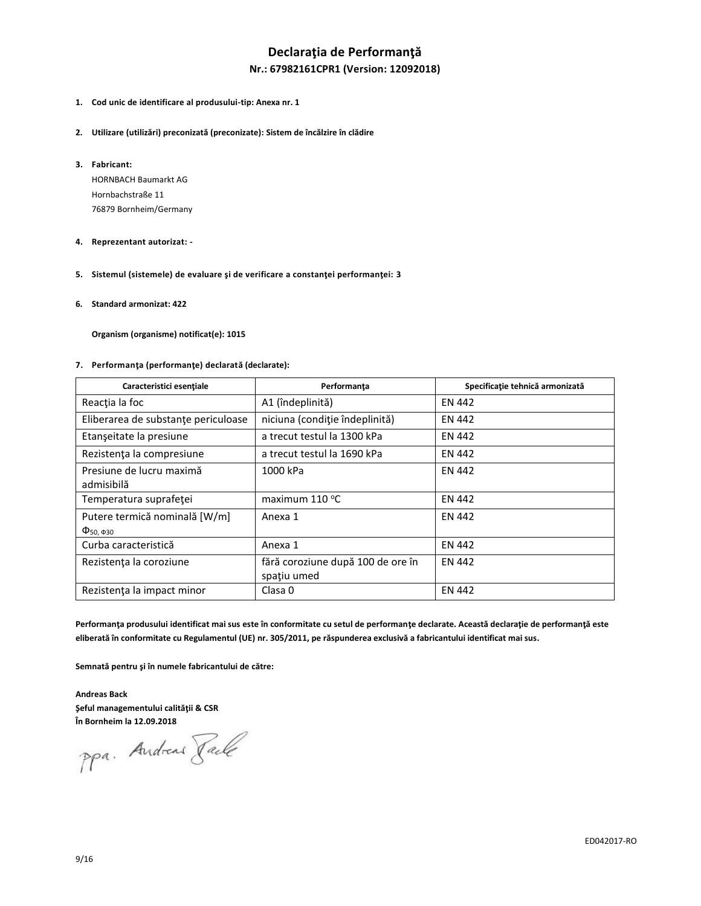# **Declaraţia de Performanţă**

### **Nr.: 67982161CPR1 (Version: 12092018)**

- **1. Cod unic de identificare al produsului-tip: Anexa nr. 1**
- **2. Utilizare (utilizări) preconizată (preconizate): Sistem de încălzire în clădire**
- **3. Fabricant:**

HORNBACH Baumarkt AG Hornbachstraße 11 76879 Bornheim/Germany

#### **4. Reprezentant autorizat: -**

- **5. Sistemul (sistemele) de evaluare şi de verificare a constanţei performanţei: 3**
- **6. Standard armonizat: 422**

**Organism (organisme) notificat(e): 1015**

#### **7. Performanţa (performanţe) declarată (declarate):**

| Caracteristici esențiale                                                     | Performanța                                      | Specificație tehnică armonizată |
|------------------------------------------------------------------------------|--------------------------------------------------|---------------------------------|
| Reacția la foc                                                               | A1 (îndeplinită)                                 | <b>EN 442</b>                   |
| Eliberarea de substanțe periculoase                                          | niciuna (condiție îndeplinită)                   | <b>EN 442</b>                   |
| Etanșeitate la presiune                                                      | a trecut testul la 1300 kPa                      | <b>EN 442</b>                   |
| Rezistența la compresiune                                                    | a trecut testul la 1690 kPa                      | <b>EN 442</b>                   |
| Presiune de lucru maximă<br>admisibilă                                       | 1000 kPa                                         | <b>EN 442</b>                   |
| Temperatura suprafeței                                                       | maximum 110 °C                                   | <b>EN 442</b>                   |
| Putere termică nominală [W/m]<br>$\Phi$ <sub>50</sub> , $\Phi$ <sub>30</sub> | Anexa 1                                          | <b>EN 442</b>                   |
| Curba caracteristică                                                         | Anexa 1                                          | <b>EN 442</b>                   |
| Rezistența la coroziune                                                      | fără coroziune după 100 de ore în<br>spațiu umed | <b>EN 442</b>                   |
| Rezistenta la impact minor                                                   | Clasa <sub>0</sub>                               | <b>EN 442</b>                   |

**Performanţa produsului identificat mai sus este în conformitate cu setul de performanţe declarate. Această declaraţie de performanţă este eliberată în conformitate cu Regulamentul (UE) nr. 305/2011, pe răspunderea exclusivă a fabricantului identificat mai sus.**

**Semnată pentru şi în numele fabricantului de către:**

**Andreas Back Şeful managementului calităţii & CSR**

**În Bornheim la 12.09.2018**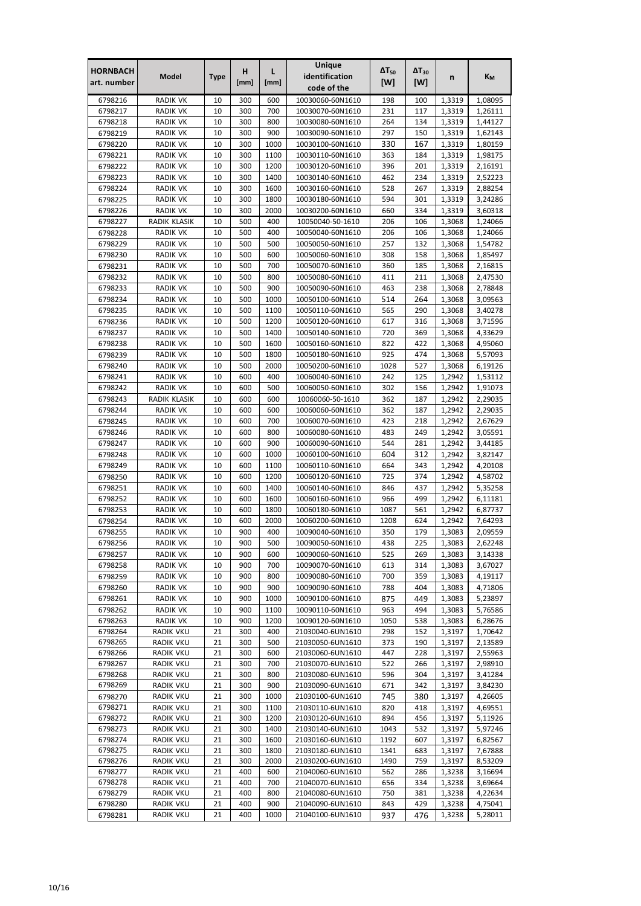| <b>HORNBACH</b>    | Model                              | <b>Type</b> | н          | L            | Unique<br>identification             | $\Delta T_{50}$ | $\Delta T_{30}$ | n                | Kм                 |
|--------------------|------------------------------------|-------------|------------|--------------|--------------------------------------|-----------------|-----------------|------------------|--------------------|
| art. number        |                                    |             | [mm]       | [mm]         | code of the                          | [W]             | [W]             |                  |                    |
| 6798216            | <b>RADIK VK</b>                    | 10          | 300        | 600          | 10030060-60N1610                     | 198             | 100             | 1,3319           | 1,08095            |
| 6798217            | <b>RADIK VK</b>                    | 10          | 300        | 700          | 10030070-60N1610                     | 231             | 117             | 1.3319           | 1,26111            |
| 6798218            | <b>RADIK VK</b>                    | 10          | 300        | 800          | 10030080-60N1610                     | 264             | 134             | 1,3319           | 1,44127            |
| 6798219<br>6798220 | <b>RADIK VK</b><br><b>RADIK VK</b> | 10<br>10    | 300<br>300 | 900<br>1000  | 10030090-60N1610<br>10030100-60N1610 | 297<br>330      | 150<br>167      | 1,3319<br>1,3319 | 1,62143<br>1,80159 |
| 6798221            | <b>RADIK VK</b>                    | 10          | 300        | 1100         | 10030110-60N1610                     | 363             | 184             | 1,3319           | 1,98175            |
| 6798222            | <b>RADIK VK</b>                    | 10          | 300        | 1200         | 10030120-60N1610                     | 396             | 201             | 1,3319           | 2,16191            |
| 6798223            | <b>RADIK VK</b>                    | 10          | 300        | 1400         | 10030140-60N1610                     | 462             | 234             | 1,3319           | 2,52223            |
| 6798224            | <b>RADIK VK</b>                    | 10          | 300        | 1600         | 10030160-60N1610                     | 528             | 267             | 1,3319           | 2,88254            |
| 6798225            | <b>RADIK VK</b>                    | 10          | 300        | 1800         | 10030180-60N1610                     | 594             | 301             | 1,3319           | 3,24286            |
| 6798226            | <b>RADIK VK</b>                    | 10          | 300        | 2000         | 10030200-60N1610                     | 660             | 334             | 1,3319           | 3,60318            |
| 6798227            | RADIK KLASIK                       | 10          | 500        | 400          | 10050040-50-1610                     | 206             | 106             | 1,3068           | 1,24066            |
| 6798228            | <b>RADIK VK</b>                    | 10          | 500        | 400          | 10050040-60N1610                     | 206             | 106             | 1,3068           | 1,24066            |
| 6798229<br>6798230 | <b>RADIK VK</b><br><b>RADIK VK</b> | 10<br>10    | 500<br>500 | 500<br>600   | 10050050-60N1610<br>10050060-60N1610 | 257<br>308      | 132<br>158      | 1,3068<br>1,3068 | 1,54782<br>1,85497 |
| 6798231            | <b>RADIK VK</b>                    | 10          | 500        | 700          | 10050070-60N1610                     | 360             | 185             | 1,3068           | 2,16815            |
| 6798232            | <b>RADIK VK</b>                    | 10          | 500        | 800          | 10050080-60N1610                     | 411             | 211             | 1,3068           | 2,47530            |
| 6798233            | <b>RADIK VK</b>                    | 10          | 500        | 900          | 10050090-60N1610                     | 463             | 238             | 1,3068           | 2,78848            |
| 6798234            | <b>RADIK VK</b>                    | 10          | 500        | 1000         | 10050100-60N1610                     | 514             | 264             | 1,3068           | 3,09563            |
| 6798235            | <b>RADIK VK</b>                    | 10          | 500        | 1100         | 10050110-60N1610                     | 565             | 290             | 1,3068           | 3,40278            |
| 6798236            | <b>RADIK VK</b>                    | 10          | 500        | 1200         | 10050120-60N1610                     | 617             | 316             | 1,3068           | 3,71596            |
| 6798237            | <b>RADIK VK</b>                    | 10          | 500        | 1400         | 10050140-60N1610                     | 720             | 369             | 1,3068           | 4,33629            |
| 6798238            | <b>RADIK VK</b>                    | 10          | 500        | 1600         | 10050160-60N1610                     | 822             | 422             | 1,3068           | 4,95060            |
| 6798239            | <b>RADIK VK</b>                    | 10          | 500        | 1800         | 10050180-60N1610                     | 925             | 474             | 1,3068           | 5,57093            |
| 6798240<br>6798241 | <b>RADIK VK</b><br><b>RADIK VK</b> | 10<br>10    | 500<br>600 | 2000<br>400  | 10050200-60N1610<br>10060040-60N1610 | 1028<br>242     | 527<br>125      | 1,3068<br>1,2942 | 6,19126<br>1,53112 |
| 6798242            | <b>RADIK VK</b>                    | 10          | 600        | 500          | 10060050-60N1610                     | 302             | 156             | 1,2942           | 1,91073            |
| 6798243            | RADIK KLASIK                       | 10          | 600        | 600          | 10060060-50-1610                     | 362             | 187             | 1,2942           | 2,29035            |
| 6798244            | <b>RADIK VK</b>                    | 10          | 600        | 600          | 10060060-60N1610                     | 362             | 187             | 1,2942           | 2,29035            |
| 6798245            | <b>RADIK VK</b>                    | 10          | 600        | 700          | 10060070-60N1610                     | 423             | 218             | 1,2942           | 2,67629            |
| 6798246            | <b>RADIK VK</b>                    | 10          | 600        | 800          | 10060080-60N1610                     | 483             | 249             | 1,2942           | 3,05591            |
| 6798247            | <b>RADIK VK</b>                    | 10          | 600        | 900          | 10060090-60N1610                     | 544             | 281             | 1,2942           | 3,44185            |
| 6798248            | <b>RADIK VK</b>                    | 10          | 600        | 1000         | 10060100-60N1610                     | 604             | 312             | 1,2942           | 3,82147            |
| 6798249            | <b>RADIK VK</b>                    | 10          | 600        | 1100         | 10060110-60N1610                     | 664             | 343             | 1,2942           | 4,20108            |
| 6798250            | <b>RADIK VK</b>                    | 10          | 600        | 1200<br>1400 | 10060120-60N1610                     | 725<br>846      | 374<br>437      | 1,2942<br>1,2942 | 4,58702            |
| 6798251<br>6798252 | <b>RADIK VK</b><br><b>RADIK VK</b> | 10<br>10    | 600<br>600 | 1600         | 10060140-60N1610<br>10060160-60N1610 | 966             | 499             | 1,2942           | 5,35258<br>6,11181 |
| 6798253            | <b>RADIK VK</b>                    | 10          | 600        | 1800         | 10060180-60N1610                     | 1087            | 561             | 1,2942           | 6,87737            |
| 6798254            | <b>RADIK VK</b>                    | 10          | 600        | 2000         | 10060200-60N1610                     | 1208            | 624             | 1,2942           | 7,64293            |
| 6798255            | <b>RADIK VK</b>                    | 10          | 900        | 400          | 10090040-60N1610                     | 350             | 179             | 1,3083           | 2,09559            |
| 6798256            | <b>RADIK VK</b>                    | 10          | 900        | 500          | 10090050-60N1610                     | 438             | 225             | 1,3083           | 2,62248            |
| 6798257            | RADIK VK                           | 10          | 900        | 600          | 10090060-60N1610                     | 525             | 269             | 1,3083           | 3,14338            |
| 6798258            | <b>RADIK VK</b>                    | 10          | 900        | 700          | 10090070-60N1610                     | 613             | 314             | 1,3083           | 3,67027            |
| 6798259            | <b>RADIK VK</b>                    | 10          | 900        | 800          | 10090080-60N1610                     | 700             | 359             | 1,3083           | 4,19117            |
| 6798260            | <b>RADIK VK</b>                    | 10          | 900        | 900          | 10090090-60N1610                     | 788             | 404             | 1,3083           | 4,71806            |
| 6798261<br>6798262 | <b>RADIK VK</b><br><b>RADIK VK</b> | 10<br>10    | 900<br>900 | 1000<br>1100 | 10090100-60N1610<br>10090110-60N1610 | 875<br>963      | 449<br>494      | 1,3083<br>1,3083 | 5,23897<br>5,76586 |
| 6798263            | <b>RADIK VK</b>                    | 10          | 900        | 1200         | 10090120-60N1610                     | 1050            | 538             | 1,3083           | 6,28676            |
| 6798264            | <b>RADIK VKU</b>                   | 21          | 300        | 400          | 21030040-6UN1610                     | 298             | 152             | 1,3197           | 1,70642            |
| 6798265            | RADIK VKU                          | 21          | 300        | 500          | 21030050-6UN1610                     | 373             | 190             | 1,3197           | 2,13589            |
| 6798266            | <b>RADIK VKU</b>                   | 21          | 300        | 600          | 21030060-6UN1610                     | 447             | 228             | 1,3197           | 2,55963            |
| 6798267            | <b>RADIK VKU</b>                   | 21          | 300        | 700          | 21030070-6UN1610                     | 522             | 266             | 1,3197           | 2,98910            |
| 6798268            | <b>RADIK VKU</b>                   | 21          | 300        | 800          | 21030080-6UN1610                     | 596             | 304             | 1,3197           | 3,41284            |
| 6798269            | RADIK VKU                          | 21          | 300        | 900          | 21030090-6UN1610                     | 671             | 342             | 1,3197           | 3,84230            |
| 6798270<br>6798271 | RADIK VKU<br>RADIK VKU             | 21<br>21    | 300<br>300 | 1000<br>1100 | 21030100-6UN1610<br>21030110-6UN1610 | 745<br>820      | 380<br>418      | 1,3197<br>1,3197 | 4,26605<br>4,69551 |
| 6798272            | RADIK VKU                          | 21          | 300        | 1200         | 21030120-6UN1610                     | 894             | 456             | 1,3197           | 5,11926            |
| 6798273            | <b>RADIK VKU</b>                   | 21          | 300        | 1400         | 21030140-6UN1610                     | 1043            | 532             | 1,3197           | 5,97246            |
| 6798274            | <b>RADIK VKU</b>                   | 21          | 300        | 1600         | 21030160-6UN1610                     | 1192            | 607             | 1,3197           | 6,82567            |
| 6798275            | <b>RADIK VKU</b>                   | 21          | 300        | 1800         | 21030180-6UN1610                     | 1341            | 683             | 1,3197           | 7,67888            |
| 6798276            | <b>RADIK VKU</b>                   | 21          | 300        | 2000         | 21030200-6UN1610                     | 1490            | 759             | 1,3197           | 8,53209            |
| 6798277            | <b>RADIK VKU</b>                   | 21          | 400        | 600          | 21040060-6UN1610                     | 562             | 286             | 1,3238           | 3,16694            |
| 6798278<br>6798279 | RADIK VKU<br><b>RADIK VKU</b>      | 21<br>21    | 400<br>400 | 700<br>800   | 21040070-6UN1610<br>21040080-6UN1610 | 656<br>750      | 334<br>381      | 1,3238<br>1,3238 | 3,69664<br>4,22634 |
| 6798280            | <b>RADIK VKU</b>                   | 21          | 400        | 900          | 21040090-6UN1610                     | 843             | 429             | 1,3238           | 4,75041            |
| 6798281            | <b>RADIK VKU</b>                   | 21          | 400        | 1000         | 21040100-6UN1610                     | 937             | 476             | 1,3238           | 5,28011            |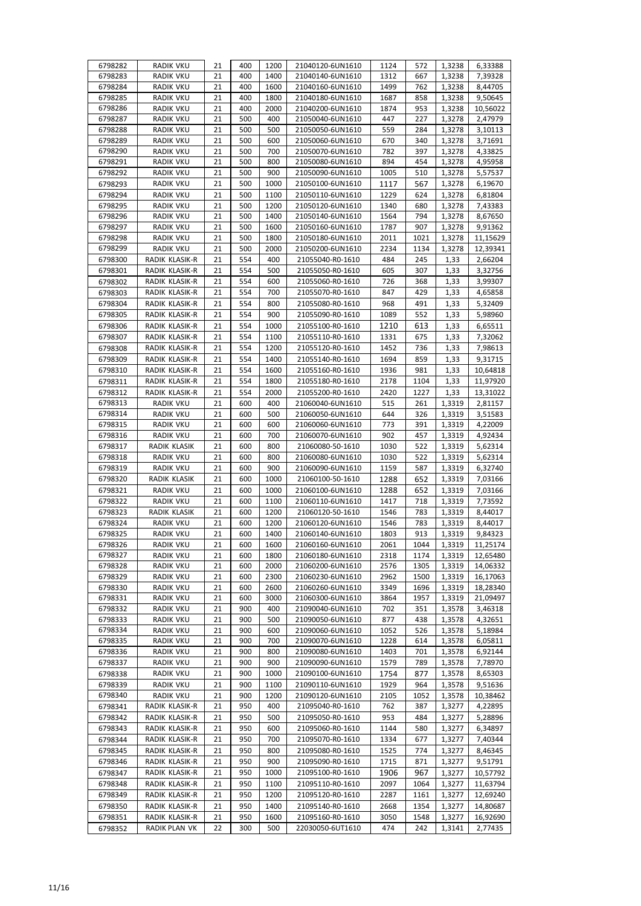| 6798282            | RADIK VKU                            | 21       | 400        | 1200         | 21040120-6UN1610                     | 1124         | 572         | 1,3238           | 6,33388             |
|--------------------|--------------------------------------|----------|------------|--------------|--------------------------------------|--------------|-------------|------------------|---------------------|
| 6798283            | <b>RADIK VKU</b>                     | 21       | 400        | 1400         | 21040140-6UN1610                     | 1312         | 667         | 1,3238           | 7,39328             |
| 6798284            | <b>RADIK VKU</b>                     | 21       | 400        | 1600         | 21040160-6UN1610                     | 1499         | 762         | 1,3238           | 8,44705             |
| 6798285            | <b>RADIK VKU</b>                     | 21       | 400        | 1800         | 21040180-6UN1610                     | 1687         | 858         | 1,3238           | 9,50645             |
| 6798286            | <b>RADIK VKU</b>                     | 21       | 400        | 2000         | 21040200-6UN1610                     | 1874         | 953         | 1,3238           | 10,56022            |
| 6798287            | <b>RADIK VKU</b>                     | 21       | 500        | 400          | 21050040-6UN1610                     | 447          | 227         | 1,3278           | 2,47979             |
| 6798288            | <b>RADIK VKU</b>                     | 21       | 500        | 500          | 21050050-6UN1610                     | 559          | 284         | 1,3278           | 3,10113             |
| 6798289            | <b>RADIK VKU</b>                     | 21       | 500        | 600          | 21050060-6UN1610                     | 670          | 340         | 1,3278           | 3,71691             |
| 6798290            | <b>RADIK VKU</b>                     | 21       | 500        | 700          | 21050070-6UN1610                     | 782          | 397         | 1,3278           | 4,33825             |
| 6798291            | <b>RADIK VKU</b>                     | 21       | 500        | 800          | 21050080-6UN1610                     | 894          | 454         | 1,3278           | 4,95958             |
| 6798292            | <b>RADIK VKU</b>                     | 21       | 500        | 900          | 21050090-6UN1610                     | 1005         | 510         | 1,3278           | 5,57537             |
| 6798293            | <b>RADIK VKU</b>                     | 21       | 500        | 1000         | 21050100-6UN1610                     | 1117         | 567         | 1,3278           | 6,19670             |
| 6798294            | <b>RADIK VKU</b>                     | 21       | 500        | 1100         | 21050110-6UN1610                     | 1229         | 624         | 1,3278           | 6,81804             |
| 6798295            | <b>RADIK VKU</b>                     | 21       | 500        | 1200         | 21050120-6UN1610                     | 1340         | 680         | 1,3278           | 7,43383             |
| 6798296            | <b>RADIK VKU</b>                     | 21       | 500        | 1400         | 21050140-6UN1610                     | 1564         | 794         | 1,3278           | 8,67650             |
| 6798297<br>6798298 | <b>RADIK VKU</b><br><b>RADIK VKU</b> | 21<br>21 | 500<br>500 | 1600<br>1800 | 21050160-6UN1610<br>21050180-6UN1610 | 1787<br>2011 | 907<br>1021 | 1,3278<br>1,3278 | 9,91362<br>11,15629 |
| 6798299            | <b>RADIK VKU</b>                     | 21       | 500        | 2000         | 21050200-6UN1610                     | 2234         | 1134        | 1,3278           | 12,39341            |
| 6798300            | RADIK KLASIK-R                       | 21       | 554        | 400          | 21055040-R0-1610                     | 484          | 245         | 1,33             | 2,66204             |
|                    | RADIK KLASIK-R                       | 21       | 554        | 500          | 21055050-R0-1610                     | 605          | 307         | 1,33             | 3,32756             |
| 6798301<br>6798302 | RADIK KLASIK-R                       | 21       | 554        | 600          | 21055060-R0-1610                     | 726          | 368         | 1,33             | 3,99307             |
| 6798303            | RADIK KLASIK-R                       | 21       | 554        | 700          | 21055070-R0-1610                     | 847          | 429         | 1,33             | 4,65858             |
| 6798304            | RADIK KLASIK-R                       | 21       | 554        | 800          | 21055080-R0-1610                     | 968          | 491         | 1,33             | 5,32409             |
| 6798305            | RADIK KLASIK-R                       | 21       | 554        | 900          | 21055090-R0-1610                     | 1089         | 552         | 1,33             | 5,98960             |
| 6798306            | RADIK KLASIK-R                       | 21       | 554        | 1000         | 21055100-R0-1610                     | 1210         | 613         | 1,33             | 6,65511             |
|                    | RADIK KLASIK-R                       | 21       | 554        | 1100         | 21055110-R0-1610                     | 1331         | 675         | 1,33             | 7,32062             |
| 6798307<br>6798308 | RADIK KLASIK-R                       | 21       | 554        | 1200         | 21055120-R0-1610                     | 1452         | 736         | 1,33             | 7,98613             |
| 6798309            | RADIK KLASIK-R                       | 21       | 554        | 1400         | 21055140-R0-1610                     | 1694         | 859         | 1,33             | 9,31715             |
| 6798310            | RADIK KLASIK-R                       | 21       | 554        | 1600         | 21055160-R0-1610                     | 1936         | 981         | 1,33             | 10,64818            |
| 6798311            | RADIK KLASIK-R                       | 21       | 554        | 1800         | 21055180-R0-1610                     | 2178         | 1104        | 1,33             | 11,97920            |
| 6798312            | RADIK KLASIK-R                       | 21       | 554        | 2000         | 21055200-R0-1610                     | 2420         | 1227        | 1,33             | 13,31022            |
| 6798313            | RADIK VKU                            | 21       | 600        | 400          | 21060040-6UN1610                     | 515          | 261         | 1,3319           | 2,81157             |
| 6798314            | <b>RADIK VKU</b>                     | 21       | 600        | 500          | 21060050-6UN1610                     | 644          | 326         | 1,3319           | 3,51583             |
| 6798315            | <b>RADIK VKU</b>                     | 21       | 600        | 600          | 21060060-6UN1610                     | 773          | 391         | 1,3319           | 4,22009             |
| 6798316            | <b>RADIK VKU</b>                     | 21       | 600        | 700          | 21060070-6UN1610                     | 902          | 457         | 1,3319           | 4,92434             |
| 6798317            | RADIK KLASIK                         | 21       | 600        | 800          | 21060080-50-1610                     | 1030         | 522         | 1,3319           | 5,62314             |
| 6798318            | <b>RADIK VKU</b>                     | 21       | 600        | 800          | 21060080-6UN1610                     | 1030         | 522         | 1,3319           | 5,62314             |
| 6798319            | <b>RADIK VKU</b>                     | 21       | 600        | 900          | 21060090-6UN1610                     | 1159         | 587         | 1,3319           | 6,32740             |
| 6798320            | RADIK KLASIK                         | 21       | 600        | 1000         | 21060100-50-1610                     | 1288         | 652         | 1,3319           | 7,03166             |
| 6798321            | <b>RADIK VKU</b>                     | 21       | 600        | 1000         | 21060100-6UN1610                     | 1288         | 652         | 1,3319           | 7,03166             |
| 6798322            | <b>RADIK VKU</b>                     | 21       | 600        | 1100         | 21060110-6UN1610                     | 1417         | 718         | 1,3319           | 7,73592             |
| 6798323            | RADIK KLASIK                         | 21       | 600        | 1200         | 21060120-50-1610                     | 1546         | 783         | 1,3319           | 8,44017             |
| 6798324            | <b>RADIK VKU</b>                     | 21       | 600        | 1200         | 21060120-6UN1610                     | 1546         | 783         | 1,3319           | 8,44017             |
| 6798325            | <b>RADIK VKU</b>                     | 21       | 600        | 1400         | 21060140-6UN1610                     | 1803         | 913         | 1,3319           | 9,84323             |
| 6798326            | <b>RADIK VKU</b>                     | 21       | 600        | 1600         | 21060160-6UN1610                     | 2061         | 1044        | 1,3319           | 11,25174            |
| 6798327            | <b>RADIK VKU</b>                     | 21       | 600        | 1800         | 21060180-6UN1610                     | 2318         | 1174        | 1,3319           | 12,65480            |
| 6798328            | <b>RADIK VKU</b>                     | 21       | 600        | 2000         | 21060200-6UN1610                     | 2576         | 1305        | 1,3319           | 14,06332            |
| 6798329            | <b>RADIK VKU</b>                     | 21       | 600        | 2300         | 21060230-6UN1610                     | 2962         | 1500        | 1,3319           | 16,17063            |
| 6798330            | RADIK VKU                            | 21       | 600        | 2600         | 21060260-6UN1610                     | 3349         | 1696        | 1,3319           | 18,28340            |
| 6798331            | <b>RADIK VKU</b>                     | 21       | 600        | 3000         | 21060300-6UN1610                     | 3864         | 1957        | 1,3319           | 21,09497            |
| 6798332            | RADIK VKU                            | 21       | 900        | 400          | 21090040-6UN1610                     | 702          | 351         | 1,3578           | 3,46318             |
| 6798333            | <b>RADIK VKU</b>                     | 21       | 900        | 500          | 21090050-6UN1610                     | 877          | 438         | 1,3578           | 4,32651             |
| 6798334            | <b>RADIK VKU</b><br><b>RADIK VKU</b> | 21       | 900        | 600          | 21090060-6UN1610                     | 1052         | 526         | 1,3578           | 5,18984             |
| 6798335<br>6798336 | RADIK VKU                            | 21<br>21 | 900<br>900 | 700<br>800   | 21090070-6UN1610<br>21090080-6UN1610 | 1228<br>1403 | 614<br>701  | 1,3578<br>1,3578 | 6,05811<br>6,92144  |
| 6798337            | RADIK VKU                            | 21       | 900        | 900          | 21090090-6UN1610                     | 1579         | 789         | 1,3578           | 7,78970             |
| 6798338            | <b>RADIK VKU</b>                     | 21       | 900        | 1000         | 21090100-6UN1610                     | 1754         | 877         | 1,3578           | 8,65303             |
| 6798339            | <b>RADIK VKU</b>                     | 21       | 900        | 1100         | 21090110-6UN1610                     | 1929         | 964         | 1,3578           | 9,51636             |
| 6798340            | RADIK VKU                            | 21       | 900        | 1200         | 21090120-6UN1610                     | 2105         | 1052        | 1,3578           | 10,38462            |
| 6798341            | RADIK KLASIK-R                       | 21       | 950        | 400          | 21095040-R0-1610                     | 762          | 387         | 1,3277           | 4,22895             |
| 6798342            | RADIK KLASIK-R                       | 21       | 950        | 500          | 21095050-R0-1610                     | 953          | 484         | 1,3277           | 5,28896             |
| 6798343            | RADIK KLASIK-R                       | 21       | 950        | 600          | 21095060-R0-1610                     | 1144         | 580         | 1,3277           | 6,34897             |
| 6798344            | RADIK KLASIK-R                       | 21       | 950        | 700          | 21095070-R0-1610                     | 1334         | 677         | 1,3277           | 7,40344             |
| 6798345            | RADIK KLASIK-R                       | 21       | 950        | 800          | 21095080-R0-1610                     | 1525         | 774         | 1,3277           | 8,46345             |
| 6798346            | RADIK KLASIK-R                       | 21       | 950        | 900          | 21095090-R0-1610                     | 1715         | 871         | 1,3277           | 9,51791             |
| 6798347            | RADIK KLASIK-R                       | 21       | 950        | 1000         | 21095100-R0-1610                     | 1906         | 967         | 1,3277           | 10,57792            |
| 6798348            | RADIK KLASIK-R                       | 21       | 950        | 1100         | 21095110-R0-1610                     | 2097         | 1064        | 1,3277           | 11,63794            |
| 6798349            | RADIK KLASIK-R                       | 21       | 950        | 1200         | 21095120-R0-1610                     | 2287         | 1161        | 1,3277           | 12,69240            |
|                    |                                      |          | 950        | 1400         | 21095140-R0-1610                     | 2668         | 1354        | 1,3277           | 14,80687            |
| 6798350            | RADIK KLASIK-R                       | 21       |            |              |                                      |              |             |                  |                     |
| 6798351            | RADIK KLASIK-R                       | 21       | 950        | 1600         | 21095160-R0-1610                     | 3050         | 1548        | 1,3277           | 16,92690            |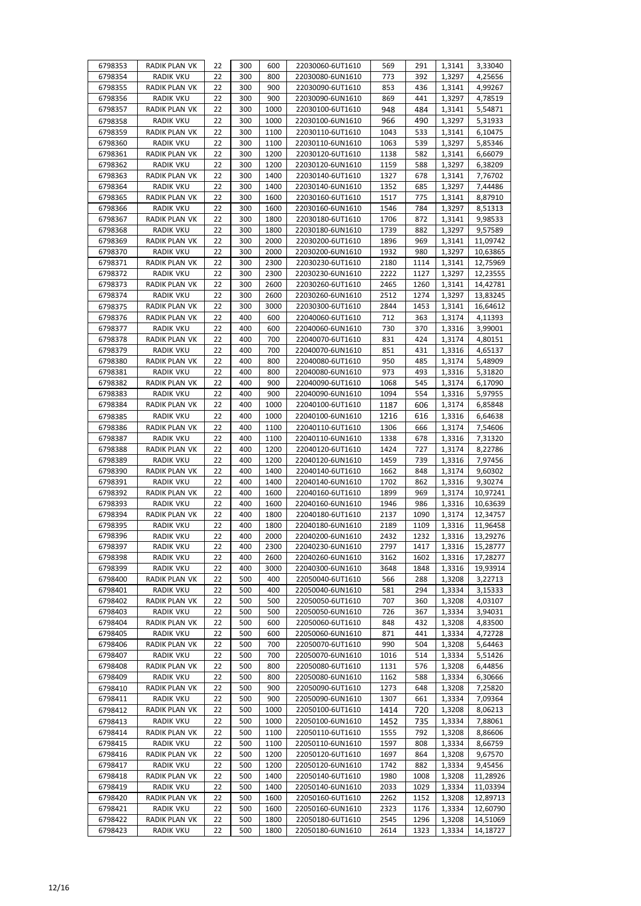| 6798353 | RADIK PLAN VK        | 22 | 300 | 600  | 22030060-6UT1610 | 569  | 291  | 1,3141 | 3,33040  |
|---------|----------------------|----|-----|------|------------------|------|------|--------|----------|
| 6798354 | RADIK VKU            | 22 | 300 | 800  | 22030080-6UN1610 | 773  | 392  | 1,3297 | 4,25656  |
| 6798355 | <b>RADIK PLAN VK</b> | 22 | 300 | 900  | 22030090-6UT1610 | 853  | 436  | 1,3141 | 4,99267  |
| 6798356 | RADIK VKU            | 22 | 300 | 900  | 22030090-6UN1610 | 869  | 441  | 1,3297 | 4,78519  |
| 6798357 | RADIK PLAN VK        | 22 | 300 | 1000 | 22030100-6UT1610 | 948  | 484  | 1,3141 | 5,54871  |
| 6798358 | <b>RADIK VKU</b>     | 22 | 300 | 1000 | 22030100-6UN1610 | 966  | 490  | 1,3297 | 5,31933  |
| 6798359 | RADIK PLAN VK        | 22 | 300 | 1100 | 22030110-6UT1610 | 1043 | 533  | 1,3141 | 6,10475  |
| 6798360 | RADIK VKU            | 22 | 300 | 1100 | 22030110-6UN1610 | 1063 | 539  | 1,3297 | 5,85346  |
| 6798361 | RADIK PLAN VK        | 22 | 300 | 1200 | 22030120-6UT1610 | 1138 | 582  | 1,3141 | 6,66079  |
| 6798362 | <b>RADIK VKU</b>     | 22 | 300 | 1200 | 22030120-6UN1610 | 1159 | 588  | 1,3297 | 6,38209  |
| 6798363 | RADIK PLAN VK        | 22 | 300 | 1400 | 22030140-6UT1610 | 1327 | 678  | 1,3141 | 7,76702  |
| 6798364 | <b>RADIK VKU</b>     | 22 | 300 | 1400 | 22030140-6UN1610 | 1352 | 685  | 1,3297 | 7,44486  |
| 6798365 | RADIK PLAN VK        | 22 | 300 | 1600 | 22030160-6UT1610 | 1517 | 775  | 1,3141 | 8,87910  |
| 6798366 | RADIK VKU            | 22 | 300 | 1600 | 22030160-6UN1610 | 1546 | 784  | 1,3297 | 8,51313  |
| 6798367 | RADIK PLAN VK        | 22 | 300 | 1800 | 22030180-6UT1610 | 1706 | 872  | 1,3141 | 9,98533  |
| 6798368 | <b>RADIK VKU</b>     | 22 | 300 | 1800 | 22030180-6UN1610 | 1739 | 882  | 1,3297 | 9,57589  |
| 6798369 | RADIK PLAN VK        | 22 | 300 | 2000 | 22030200-6UT1610 | 1896 | 969  | 1,3141 | 11,09742 |
| 6798370 | <b>RADIK VKU</b>     | 22 | 300 | 2000 | 22030200-6UN1610 | 1932 | 980  | 1,3297 | 10,63865 |
| 6798371 | RADIK PLAN VK        | 22 | 300 | 2300 | 22030230-6UT1610 | 2180 | 1114 | 1,3141 | 12,75969 |
| 6798372 | <b>RADIK VKU</b>     | 22 | 300 | 2300 | 22030230-6UN1610 | 2222 | 1127 | 1,3297 | 12,23555 |
| 6798373 | RADIK PLAN VK        | 22 | 300 | 2600 | 22030260-6UT1610 | 2465 | 1260 | 1,3141 | 14,42781 |
| 6798374 | RADIK VKU            | 22 | 300 | 2600 | 22030260-6UN1610 | 2512 | 1274 | 1,3297 | 13,83245 |
| 6798375 | RADIK PLAN VK        | 22 | 300 | 3000 | 22030300-6UT1610 | 2844 | 1453 | 1,3141 | 16,64612 |
| 6798376 | RADIK PLAN VK        | 22 | 400 | 600  | 22040060-6UT1610 | 712  | 363  | 1,3174 | 4,11393  |
| 6798377 | RADIK VKU            | 22 | 400 | 600  | 22040060-6UN1610 | 730  | 370  | 1,3316 | 3,99001  |
| 6798378 | RADIK PLAN VK        | 22 | 400 | 700  | 22040070-6UT1610 | 831  | 424  | 1,3174 | 4,80151  |
| 6798379 | RADIK VKU            | 22 | 400 | 700  | 22040070-6UN1610 | 851  | 431  | 1,3316 | 4,65137  |
| 6798380 | RADIK PLAN VK        | 22 | 400 | 800  | 22040080-6UT1610 | 950  | 485  | 1,3174 | 5,48909  |
| 6798381 | <b>RADIK VKU</b>     | 22 | 400 | 800  | 22040080-6UN1610 | 973  | 493  | 1,3316 | 5,31820  |
| 6798382 | RADIK PLAN VK        | 22 | 400 | 900  | 22040090-6UT1610 | 1068 | 545  | 1,3174 | 6,17090  |
| 6798383 | RADIK VKU            | 22 | 400 | 900  | 22040090-6UN1610 | 1094 | 554  | 1,3316 | 5,97955  |
| 6798384 | RADIK PLAN VK        | 22 | 400 | 1000 | 22040100-6UT1610 | 1187 | 606  | 1,3174 | 6,85848  |
| 6798385 | RADIK VKU            | 22 | 400 | 1000 | 22040100-6UN1610 | 1216 | 616  | 1,3316 | 6,64638  |
| 6798386 | RADIK PLAN VK        | 22 | 400 | 1100 | 22040110-6UT1610 | 1306 | 666  | 1,3174 | 7,54606  |
| 6798387 | RADIK VKU            | 22 | 400 | 1100 | 22040110-6UN1610 | 1338 | 678  | 1,3316 | 7,31320  |
| 6798388 | RADIK PLAN VK        | 22 | 400 | 1200 | 22040120-6UT1610 | 1424 | 727  | 1,3174 | 8,22786  |
| 6798389 | RADIK VKU            | 22 | 400 | 1200 | 22040120-6UN1610 | 1459 | 739  | 1,3316 | 7,97456  |
| 6798390 | RADIK PLAN VK        | 22 | 400 | 1400 | 22040140-6UT1610 | 1662 | 848  | 1,3174 | 9,60302  |
| 6798391 | <b>RADIK VKU</b>     | 22 | 400 | 1400 | 22040140-6UN1610 | 1702 | 862  | 1,3316 | 9,30274  |
| 6798392 | RADIK PLAN VK        | 22 | 400 | 1600 | 22040160-6UT1610 | 1899 | 969  | 1,3174 | 10,97241 |
| 6798393 | RADIK VKU            | 22 | 400 | 1600 | 22040160-6UN1610 | 1946 | 986  | 1,3316 | 10,63639 |
| 6798394 | RADIK PLAN VK        | 22 | 400 | 1800 | 22040180-6UT1610 | 2137 | 1090 | 1,3174 | 12,34757 |
| 6798395 | <b>RADIK VKU</b>     | 22 | 400 | 1800 | 22040180-6UN1610 | 2189 | 1109 | 1,3316 | 11,96458 |
| 6798396 | <b>RADIK VKU</b>     | 22 | 400 | 2000 | 22040200-6UN1610 | 2432 | 1232 | 1,3316 | 13,29276 |
| 6798397 | <b>RADIK VKU</b>     | 22 | 400 | 2300 | 22040230-6UN1610 | 2797 | 1417 | 1,3316 | 15,28777 |
| 6798398 | <b>RADIK VKU</b>     | 22 | 400 | 2600 | 22040260-6UN1610 | 3162 | 1602 | 1,3316 | 17,28277 |
| 6798399 | <b>RADIK VKU</b>     | 22 | 400 | 3000 | 22040300-6UN1610 | 3648 | 1848 | 1,3316 | 19,93914 |
| 6798400 | RADIK PLAN VK        | 22 | 500 | 400  | 22050040-6UT1610 | 566  | 288  | 1,3208 | 3,22713  |
| 6798401 | <b>RADIK VKU</b>     | 22 | 500 | 400  | 22050040-6UN1610 | 581  | 294  | 1,3334 | 3,15333  |
| 6798402 | RADIK PLAN VK        | 22 | 500 | 500  | 22050050-6UT1610 | 707  | 360  | 1,3208 | 4,03107  |
| 6798403 | <b>RADIK VKU</b>     | 22 | 500 | 500  | 22050050-6UN1610 | 726  | 367  | 1,3334 | 3,94031  |
| 6798404 | RADIK PLAN VK        | 22 | 500 | 600  | 22050060-6UT1610 | 848  | 432  | 1,3208 | 4,83500  |
| 6798405 | <b>RADIK VKU</b>     | 22 | 500 | 600  | 22050060-6UN1610 | 871  | 441  | 1,3334 | 4,72728  |
| 6798406 | RADIK PLAN VK        | 22 | 500 | 700  | 22050070-6UT1610 | 990  | 504  | 1,3208 | 5,64463  |
| 6798407 | <b>RADIK VKU</b>     | 22 | 500 | 700  | 22050070-6UN1610 | 1016 | 514  | 1,3334 | 5,51426  |
| 6798408 | RADIK PLAN VK        | 22 | 500 | 800  | 22050080-6UT1610 | 1131 | 576  | 1,3208 | 6,44856  |
| 6798409 | <b>RADIK VKU</b>     | 22 | 500 | 800  | 22050080-6UN1610 | 1162 | 588  | 1,3334 | 6,30666  |
| 6798410 | RADIK PLAN VK        | 22 | 500 | 900  | 22050090-6UT1610 | 1273 | 648  | 1,3208 | 7,25820  |
| 6798411 | RADIK VKU            | 22 | 500 | 900  | 22050090-6UN1610 | 1307 | 661  | 1,3334 | 7,09364  |
| 6798412 | RADIK PLAN VK        | 22 | 500 | 1000 | 22050100-6UT1610 | 1414 | 720  | 1,3208 | 8,06213  |
| 6798413 | <b>RADIK VKU</b>     | 22 | 500 | 1000 | 22050100-6UN1610 | 1452 | 735  | 1,3334 | 7,88061  |
| 6798414 | RADIK PLAN VK        | 22 | 500 | 1100 | 22050110-6UT1610 | 1555 | 792  | 1,3208 | 8,86606  |
| 6798415 | RADIK VKU            | 22 | 500 | 1100 | 22050110-6UN1610 | 1597 | 808  | 1,3334 | 8,66759  |
| 6798416 | RADIK PLAN VK        | 22 | 500 | 1200 | 22050120-6UT1610 | 1697 | 864  | 1,3208 | 9,67570  |
| 6798417 | <b>RADIK VKU</b>     | 22 | 500 | 1200 | 22050120-6UN1610 | 1742 | 882  | 1,3334 | 9,45456  |
| 6798418 | RADIK PLAN VK        | 22 | 500 | 1400 | 22050140-6UT1610 | 1980 | 1008 | 1,3208 | 11,28926 |
| 6798419 | <b>RADIK VKU</b>     | 22 | 500 | 1400 | 22050140-6UN1610 | 2033 | 1029 | 1,3334 | 11,03394 |
| 6798420 | RADIK PLAN VK        | 22 | 500 | 1600 | 22050160-6UT1610 | 2262 | 1152 | 1,3208 | 12,89713 |
| 6798421 | <b>RADIK VKU</b>     | 22 | 500 | 1600 | 22050160-6UN1610 | 2323 | 1176 | 1,3334 | 12,60790 |
| 6798422 | RADIK PLAN VK        | 22 | 500 | 1800 | 22050180-6UT1610 | 2545 | 1296 | 1,3208 | 14,51069 |
| 6798423 | RADIK VKU            | 22 | 500 | 1800 | 22050180-6UN1610 | 2614 | 1323 | 1,3334 | 14,18727 |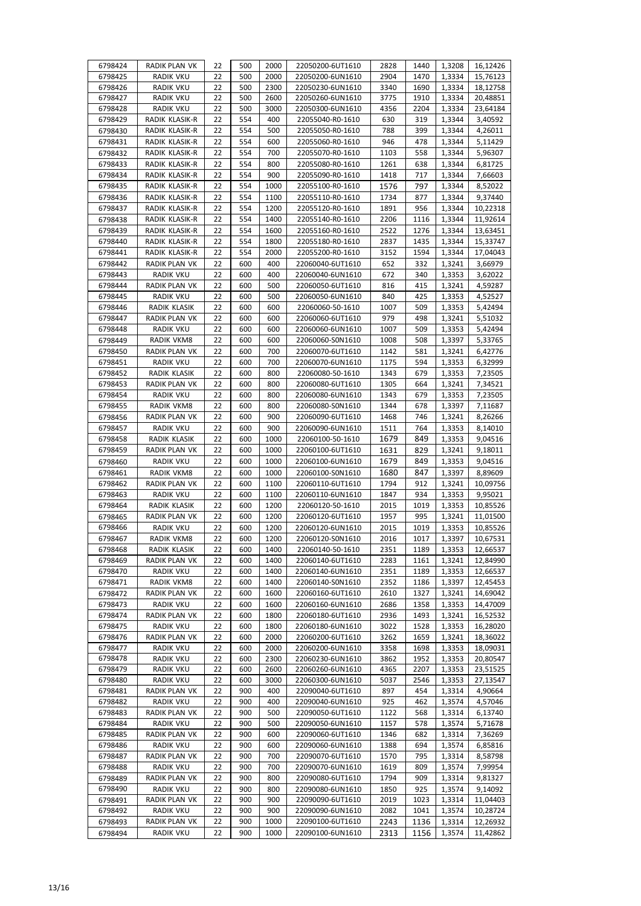| 6798424            | RADIK PLAN VK                 | 22       | 500        | 2000       | 22050200-6UT1610                     | 2828         | 1440       | 1,3208           | 16,12426           |
|--------------------|-------------------------------|----------|------------|------------|--------------------------------------|--------------|------------|------------------|--------------------|
| 6798425            | <b>RADIK VKU</b>              | 22       | 500        | 2000       | 22050200-6UN1610                     | 2904         | 1470       | 1,3334           | 15,76123           |
| 6798426            | RADIK VKU                     | 22       | 500        | 2300       | 22050230-6UN1610                     | 3340         | 1690       | 1,3334           | 18,12758           |
| 6798427            | RADIK VKU                     | 22       | 500        | 2600       | 22050260-6UN1610                     | 3775         | 1910       | 1,3334           | 20,48851           |
| 6798428            | <b>RADIK VKU</b>              | 22       | 500        | 3000       | 22050300-6UN1610                     | 4356         | 2204       | 1,3334           | 23,64184           |
| 6798429            | RADIK KLASIK-R                | 22       | 554        | 400        | 22055040-R0-1610                     | 630          | 319        | 1,3344           | 3,40592            |
| 6798430            | RADIK KLASIK-R                | 22       | 554        | 500        | 22055050-R0-1610                     | 788          | 399        | 1,3344           | 4,26011            |
| 6798431            | RADIK KLASIK-R                | 22       | 554        | 600        | 22055060-R0-1610                     | 946          | 478        | 1,3344           | 5,11429            |
| 6798432            | RADIK KLASIK-R                | 22       | 554        | 700        | 22055070-R0-1610                     | 1103         | 558        | 1,3344           | 5,96307            |
| 6798433            | RADIK KLASIK-R                | 22       | 554        | 800        | 22055080-R0-1610                     | 1261         | 638        | 1,3344           | 6,81725            |
| 6798434            | RADIK KLASIK-R                | 22       | 554        | 900        | 22055090-R0-1610                     | 1418         | 717        | 1,3344           | 7,66603            |
| 6798435            | RADIK KLASIK-R                | 22       | 554        | 1000       | 22055100-R0-1610                     | 1576         | 797        | 1,3344           | 8,52022            |
| 6798436            | RADIK KLASIK-R                | 22       | 554        | 1100       | 22055110-R0-1610                     | 1734         | 877        | 1,3344           | 9,37440            |
| 6798437            | RADIK KLASIK-R                | 22       | 554        | 1200       | 22055120-R0-1610                     | 1891         | 956        | 1,3344           | 10,22318           |
| 6798438            | RADIK KLASIK-R                | 22       | 554        | 1400       | 22055140-R0-1610                     | 2206         | 1116       | 1,3344           | 11,92614           |
| 6798439            | RADIK KLASIK-R                | 22       | 554        | 1600       | 22055160-R0-1610                     | 2522         | 1276       | 1,3344           | 13,63451           |
| 6798440            | RADIK KLASIK-R                | 22       | 554        | 1800       | 22055180-R0-1610                     | 2837         | 1435       | 1,3344           | 15,33747           |
| 6798441            | RADIK KLASIK-R                | 22       | 554        | 2000       | 22055200-R0-1610                     | 3152         | 1594       | 1,3344           | 17,04043           |
| 6798442            | RADIK PLAN VK                 | 22       | 600        | 400        | 22060040-6UT1610                     | 652          | 332        | 1,3241           | 3,66979            |
| 6798443            | <b>RADIK VKU</b>              | 22       | 600        | 400        | 22060040-6UN1610                     | 672          | 340        | 1,3353           | 3,62022            |
| 6798444            | RADIK PLAN VK                 | 22       | 600        | 500        | 22060050-6UT1610                     | 816          | 415        | 1,3241           | 4,59287            |
| 6798445            | RADIK VKU                     | 22       | 600        | 500        | 22060050-6UN1610                     | 840          | 425        | 1,3353           | 4,52527            |
| 6798446            | RADIK KLASIK                  | 22       | 600        | 600        | 22060060-50-1610                     | 1007         | 509        | 1,3353           | 5,42494            |
| 6798447            | RADIK PLAN VK                 | 22       | 600        | 600        | 22060060-6UT1610                     | 979          | 498        | 1,3241           | 5,51032            |
| 6798448            | <b>RADIK VKU</b>              | 22       | 600        | 600        | 22060060-6UN1610                     | 1007         | 509        | 1,3353           | 5,42494            |
| 6798449            | <b>RADIK VKM8</b>             | 22       | 600        | 600        | 22060060-S0N1610                     | 1008         | 508        | 1,3397           | 5,33765            |
| 6798450            | RADIK PLAN VK                 | 22       | 600        | 700        | 22060070-6UT1610                     | 1142         | 581        | 1,3241           | 6,42776            |
| 6798451            | <b>RADIK VKU</b>              | 22<br>22 | 600        | 700<br>800 | 22060070-6UN1610                     | 1175         | 594<br>679 | 1,3353           | 6,32999            |
| 6798452<br>6798453 | RADIK KLASIK<br>RADIK PLAN VK | 22       | 600<br>600 | 800        | 22060080-50-1610<br>22060080-6UT1610 | 1343<br>1305 |            | 1,3353<br>1,3241 | 7,23505<br>7,34521 |
| 6798454            | RADIK VKU                     | 22       | 600        | 800        | 22060080-6UN1610                     | 1343         | 664<br>679 |                  |                    |
| 6798455            | RADIK VKM8                    | 22       | 600        | 800        | 22060080-S0N1610                     | 1344         | 678        | 1,3353<br>1,3397 | 7,23505<br>7,11687 |
| 6798456            | RADIK PLAN VK                 | 22       | 600        | 900        | 22060090-6UT1610                     | 1468         | 746        | 1,3241           | 8,26266            |
| 6798457            | RADIK VKU                     | 22       | 600        | 900        | 22060090-6UN1610                     | 1511         | 764        | 1,3353           | 8,14010            |
| 6798458            | RADIK KLASIK                  | 22       | 600        | 1000       | 22060100-50-1610                     | 1679         | 849        | 1,3353           | 9,04516            |
| 6798459            | RADIK PLAN VK                 | 22       | 600        | 1000       | 22060100-6UT1610                     | 1631         | 829        | 1,3241           | 9,18011            |
| 6798460            | RADIK VKU                     | 22       | 600        | 1000       | 22060100-6UN1610                     | 1679         | 849        | 1,3353           | 9,04516            |
| 6798461            | RADIK VKM8                    | 22       | 600        | 1000       | 22060100-S0N1610                     | 1680         | 847        | 1,3397           | 8,89609            |
| 6798462            | RADIK PLAN VK                 | 22       | 600        | 1100       | 22060110-6UT1610                     | 1794         | 912        | 1,3241           | 10,09756           |
| 6798463            | RADIK VKU                     | 22       | 600        | 1100       | 22060110-6UN1610                     | 1847         | 934        | 1,3353           | 9,95021            |
| 6798464            | RADIK KLASIK                  | 22       | 600        | 1200       | 22060120-50-1610                     | 2015         | 1019       | 1,3353           | 10,85526           |
| 6798465            | RADIK PLAN VK                 | 22       | 600        | 1200       | 22060120-6UT1610                     | 1957         | 995        | 1,3241           | 11,01500           |
| 6798466            | <b>RADIK VKU</b>              | 22       | 600        | 1200       | 22060120-6UN1610                     | 2015         | 1019       | 1,3353           | 10,85526           |
| 6798467            | RADIK VKM8                    | 22       | 600        | 1200       | 22060120-S0N1610                     | 2016         | 1017       | 1,3397           | 10,67531           |
| 6798468            | RADIK KLASIK                  | 22       | 600        | 1400       | 22060140-50-1610                     | 2351         | 1189       | 1,3353           | 12,66537           |
| 6798469            | RADIK PLAN VK                 | 22       | 600        | 1400       | 22060140-6UT1610                     | 2283         | 1161       | 1,3241           | 12,84990           |
| 6798470            | RADIK VKU                     | 22       | 600        | 1400       | 22060140-6UN1610                     | 2351         | 1189       | 1,3353           | 12,66537           |
| 6798471            | RADIK VKM8                    | 22       | 600        | 1400       | 22060140-S0N1610                     | 2352         | 1186       | 1,3397           | 12,45453           |
| 6798472            | RADIK PLAN VK                 | 22       | 600        | 1600       | 22060160-6UT1610                     | 2610         | 1327       | 1,3241           | 14,69042           |
| 6798473            | RADIK VKU                     | 22       | 600        | 1600       | 22060160-6UN1610                     | 2686         | 1358       | 1,3353           | 14,47009           |
| 6798474            | RADIK PLAN VK                 | 22       | 600        | 1800       | 22060180-6UT1610                     | 2936         | 1493       | 1,3241           | 16,52532           |
| 6798475            | RADIK VKU                     | 22       | 600        | 1800       | 22060180-6UN1610                     | 3022         | 1528       | 1,3353           | 16,28020           |
| 6798476            | RADIK PLAN VK                 | 22       | 600        | 2000       | 22060200-6UT1610                     | 3262         | 1659       | 1,3241           | 18,36022           |
| 6798477            | <b>RADIK VKU</b>              | 22       | 600        | 2000       | 22060200-6UN1610                     | 3358         | 1698       | 1,3353           | 18,09031           |
| 6798478            | RADIK VKU                     | 22       | 600        | 2300       | 22060230-6UN1610                     | 3862         | 1952       | 1,3353           | 20,80547           |
| 6798479            | <b>RADIK VKU</b>              | 22       | 600        | 2600       | 22060260-6UN1610                     | 4365         | 2207       | 1,3353           | 23,51525           |
| 6798480            | RADIK VKU                     | 22       | 600        | 3000       | 22060300-6UN1610                     | 5037         | 2546       | 1,3353           | 27,13547           |
| 6798481            | RADIK PLAN VK                 | 22       | 900        | 400        | 22090040-6UT1610                     | 897          | 454        | 1,3314           | 4,90664            |
| 6798482            | RADIK VKU                     | 22       | 900        | 400        | 22090040-6UN1610                     | 925          | 462        | 1,3574           | 4,57046            |
| 6798483            | RADIK PLAN VK                 | 22       | 900        | 500        | 22090050-6UT1610                     | 1122         | 568        | 1,3314           | 6,13740            |
| 6798484            | RADIK VKU                     | 22       | 900        | 500        | 22090050-6UN1610                     | 1157         | 578        | 1,3574           | 5,71678            |
| 6798485            | RADIK PLAN VK                 | 22       | 900        | 600        | 22090060-6UT1610                     | 1346         | 682        | 1,3314           | 7,36269            |
| 6798486            | RADIK VKU                     | 22       | 900        | 600        | 22090060-6UN1610                     | 1388         | 694        | 1,3574           | 6,85816            |
| 6798487            | RADIK PLAN VK                 | 22       | 900        | 700        | 22090070-6UT1610                     | 1570         | 795        | 1,3314           | 8,58798            |
| 6798488<br>6798489 | RADIK VKU<br>RADIK PLAN VK    | 22<br>22 | 900<br>900 | 700<br>800 | 22090070-6UN1610<br>22090080-6UT1610 | 1619<br>1794 | 809<br>909 | 1,3574<br>1,3314 | 7,99954<br>9,81327 |
| 6798490            | RADIK VKU                     | 22       | 900        | 800        | 22090080-6UN1610                     | 1850         | 925        | 1,3574           | 9,14092            |
| 6798491            | RADIK PLAN VK                 | 22       | 900        | 900        | 22090090-6UT1610                     | 2019         | 1023       | 1,3314           | 11,04403           |
| 6798492            | <b>RADIK VKU</b>              | 22       | 900        | 900        | 22090090-6UN1610                     | 2082         | 1041       | 1,3574           | 10,28724           |
| 6798493            | RADIK PLAN VK                 | 22       | 900        | 1000       | 22090100-6UT1610                     | 2243         | 1136       | 1,3314           | 12,26932           |
|                    |                               |          |            |            |                                      |              |            |                  |                    |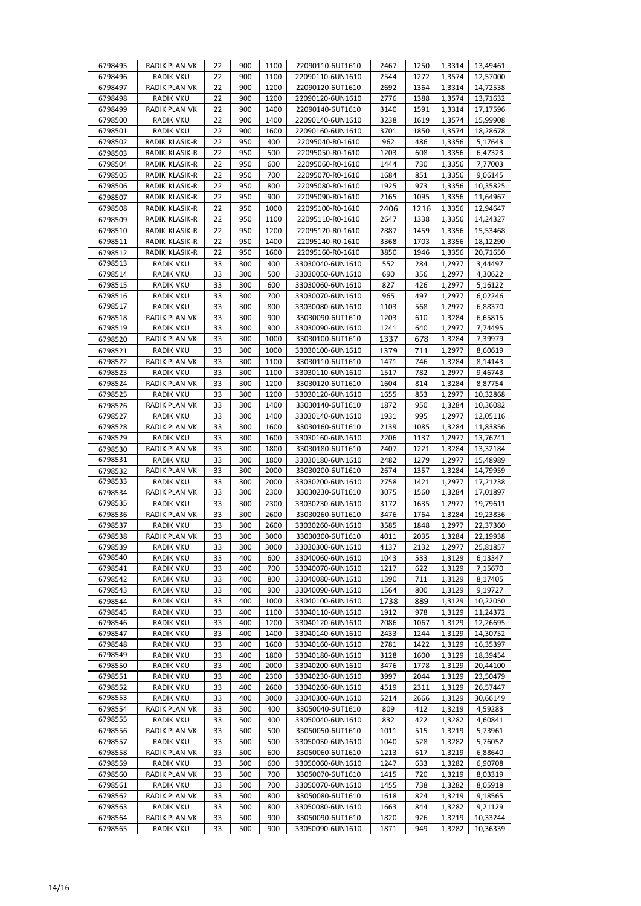| 6798495 | RADIK PLAN VK    | 22 | 900 | 1100 | 22090110-6UT1610 | 2467 | 1250 | 1,3314 | 13,49461 |
|---------|------------------|----|-----|------|------------------|------|------|--------|----------|
| 6798496 | <b>RADIK VKU</b> | 22 | 900 | 1100 | 22090110-6UN1610 | 2544 | 1272 | 1,3574 | 12,57000 |
| 6798497 | RADIK PLAN VK    | 22 | 900 | 1200 | 22090120-6UT1610 | 2692 | 1364 | 1,3314 | 14,72538 |
| 6798498 | <b>RADIK VKU</b> | 22 | 900 | 1200 | 22090120-6UN1610 | 2776 | 1388 | 1,3574 | 13,71632 |
| 6798499 | RADIK PLAN VK    | 22 | 900 | 1400 | 22090140-6UT1610 | 3140 | 1591 | 1,3314 | 17,17596 |
| 6798500 | RADIK VKU        | 22 | 900 | 1400 | 22090140-6UN1610 | 3238 | 1619 | 1,3574 | 15,99908 |
| 6798501 | RADIK VKU        | 22 | 900 | 1600 | 22090160-6UN1610 | 3701 | 1850 | 1,3574 | 18,28678 |
| 6798502 | RADIK KLASIK-R   | 22 | 950 | 400  | 22095040-R0-1610 | 962  | 486  | 1,3356 | 5,17643  |
| 6798503 | RADIK KLASIK-R   | 22 | 950 | 500  | 22095050-R0-1610 | 1203 | 608  | 1,3356 | 6,47323  |
| 6798504 | RADIK KLASIK-R   | 22 | 950 | 600  | 22095060-R0-1610 | 1444 | 730  | 1,3356 | 7,77003  |
| 6798505 | RADIK KLASIK-R   | 22 | 950 | 700  | 22095070-R0-1610 | 1684 | 851  | 1,3356 | 9,06145  |
|         | RADIK KLASIK-R   | 22 | 950 | 800  | 22095080-R0-1610 |      | 973  | 1,3356 |          |
| 6798506 |                  |    |     |      |                  | 1925 |      |        | 10,35825 |
| 6798507 | RADIK KLASIK-R   | 22 | 950 | 900  | 22095090-R0-1610 | 2165 | 1095 | 1,3356 | 11,64967 |
| 6798508 | RADIK KLASIK-R   | 22 | 950 | 1000 | 22095100-R0-1610 | 2406 | 1216 | 1,3356 | 12,94647 |
| 6798509 | RADIK KLASIK-R   | 22 | 950 | 1100 | 22095110-R0-1610 | 2647 | 1338 | 1,3356 | 14,24327 |
| 6798510 | RADIK KLASIK-R   | 22 | 950 | 1200 | 22095120-R0-1610 | 2887 | 1459 | 1,3356 | 15,53468 |
| 6798511 | RADIK KLASIK-R   | 22 | 950 | 1400 | 22095140-R0-1610 | 3368 | 1703 | 1,3356 | 18,12290 |
| 6798512 | RADIK KLASIK-R   | 22 | 950 | 1600 | 22095160-R0-1610 | 3850 | 1946 | 1,3356 | 20,71650 |
| 6798513 | <b>RADIK VKU</b> | 33 | 300 | 400  | 33030040-6UN1610 | 552  | 284  | 1,2977 | 3,44497  |
| 6798514 | <b>RADIK VKU</b> | 33 | 300 | 500  | 33030050-6UN1610 | 690  | 356  | 1,2977 | 4,30622  |
| 6798515 | <b>RADIK VKU</b> | 33 | 300 | 600  | 33030060-6UN1610 | 827  | 426  | 1,2977 | 5,16122  |
| 6798516 | <b>RADIK VKU</b> | 33 | 300 | 700  | 33030070-6UN1610 | 965  | 497  | 1,2977 | 6,02246  |
| 6798517 | <b>RADIK VKU</b> | 33 | 300 | 800  | 33030080-6UN1610 | 1103 | 568  | 1,2977 | 6,88370  |
| 6798518 | RADIK PLAN VK    | 33 | 300 | 900  | 33030090-6UT1610 | 1203 | 610  | 1,3284 | 6,65815  |
| 6798519 | <b>RADIK VKU</b> | 33 | 300 | 900  | 33030090-6UN1610 | 1241 | 640  | 1,2977 | 7,74495  |
| 6798520 | RADIK PLAN VK    | 33 | 300 | 1000 | 33030100-6UT1610 | 1337 | 678  | 1,3284 | 7,39979  |
| 6798521 | <b>RADIK VKU</b> | 33 | 300 | 1000 | 33030100-6UN1610 | 1379 | 711  | 1,2977 | 8,60619  |
| 6798522 | RADIK PLAN VK    | 33 | 300 | 1100 | 33030110-6UT1610 | 1471 | 746  | 1,3284 | 8,14143  |
|         |                  | 33 | 300 | 1100 |                  | 1517 | 782  | 1,2977 |          |
| 6798523 | <b>RADIK VKU</b> |    |     |      | 33030110-6UN1610 |      |      |        | 9,46743  |
| 6798524 | RADIK PLAN VK    | 33 | 300 | 1200 | 33030120-6UT1610 | 1604 | 814  | 1,3284 | 8,87754  |
| 6798525 | <b>RADIK VKU</b> | 33 | 300 | 1200 | 33030120-6UN1610 | 1655 | 853  | 1,2977 | 10,32868 |
| 6798526 | RADIK PLAN VK    | 33 | 300 | 1400 | 33030140-6UT1610 | 1872 | 950  | 1,3284 | 10,36082 |
| 6798527 | <b>RADIK VKU</b> | 33 | 300 | 1400 | 33030140-6UN1610 | 1931 | 995  | 1,2977 | 12,05116 |
| 6798528 | RADIK PLAN VK    | 33 | 300 | 1600 | 33030160-6UT1610 | 2139 | 1085 | 1,3284 | 11,83856 |
| 6798529 | <b>RADIK VKU</b> | 33 | 300 | 1600 | 33030160-6UN1610 | 2206 | 1137 | 1,2977 | 13,76741 |
| 6798530 | RADIK PLAN VK    | 33 | 300 | 1800 | 33030180-6UT1610 | 2407 | 1221 | 1,3284 | 13,32184 |
| 6798531 | <b>RADIK VKU</b> | 33 | 300 | 1800 | 33030180-6UN1610 | 2482 | 1279 | 1,2977 | 15,48989 |
| 6798532 | RADIK PLAN VK    | 33 | 300 | 2000 | 33030200-6UT1610 | 2674 | 1357 | 1,3284 | 14,79959 |
| 6798533 | RADIK VKU        | 33 | 300 | 2000 | 33030200-6UN1610 | 2758 | 1421 | 1,2977 | 17,21238 |
| 6798534 | RADIK PLAN VK    | 33 | 300 | 2300 | 33030230-6UT1610 | 3075 | 1560 | 1,3284 | 17,01897 |
| 6798535 | RADIK VKU        | 33 | 300 | 2300 | 33030230-6UN1610 | 3172 | 1635 | 1,2977 | 19,79611 |
| 6798536 | RADIK PLAN VK    | 33 | 300 | 2600 | 33030260-6UT1610 | 3476 | 1764 | 1,3284 | 19,23836 |
| 6798537 | <b>RADIK VKU</b> | 33 | 300 | 2600 | 33030260-6UN1610 | 3585 | 1848 | 1,2977 | 22,37360 |
| 6798538 | RADIK PLAN VK    | 33 | 300 | 3000 | 33030300-6UT1610 | 4011 | 2035 | 1,3284 | 22,19938 |
| 6798539 | RADIK VKU        | 33 | 300 | 3000 | 33030300-6UN1610 | 4137 | 2132 | 1,2977 | 25,81857 |
| 6798540 | <b>RADIK VKU</b> | 33 | 400 | 600  | 33040060-6UN1610 | 1043 | 533  | 1,3129 | 6,13347  |
| 6798541 | <b>RADIK VKU</b> | 33 | 400 | 700  | 33040070-6UN1610 | 1217 | 622  | 1,3129 | 7,15670  |
| 6798542 | RADIK VKU        | 33 | 400 | 800  | 33040080-6UN1610 | 1390 | 711  | 1,3129 | 8,17405  |
| 6798543 | RADIK VKU        | 33 | 400 | 900  | 33040090-6UN1610 | 1564 | 800  | 1,3129 | 9,19727  |
| 6798544 | RADIK VKU        | 33 | 400 | 1000 | 33040100-6UN1610 | 1738 | 889  | 1,3129 | 10,22050 |
| 6798545 | <b>RADIK VKU</b> | 33 | 400 | 1100 | 33040110-6UN1610 | 1912 | 978  | 1,3129 | 11,24372 |
| 6798546 | <b>RADIK VKU</b> | 33 | 400 | 1200 | 33040120-6UN1610 | 2086 | 1067 | 1,3129 | 12,26695 |
| 6798547 | <b>RADIK VKU</b> | 33 | 400 | 1400 | 33040140-6UN1610 | 2433 | 1244 | 1,3129 | 14,30752 |
| 6798548 | <b>RADIK VKU</b> | 33 | 400 | 1600 | 33040160-6UN1610 | 2781 | 1422 | 1,3129 | 16,35397 |
| 6798549 | <b>RADIK VKU</b> | 33 | 400 | 1800 | 33040180-6UN1610 | 3128 | 1600 | 1,3129 | 18,39454 |
| 6798550 | <b>RADIK VKU</b> | 33 | 400 | 2000 | 33040200-6UN1610 | 3476 | 1778 | 1,3129 | 20,44100 |
| 6798551 | RADIK VKU        | 33 | 400 | 2300 | 33040230-6UN1610 | 3997 | 2044 | 1,3129 | 23,50479 |
| 6798552 | RADIK VKU        | 33 | 400 | 2600 | 33040260-6UN1610 | 4519 | 2311 | 1,3129 | 26,57447 |
| 6798553 | <b>RADIK VKU</b> | 33 | 400 | 3000 | 33040300-6UN1610 | 5214 | 2666 | 1,3129 | 30,66149 |
|         |                  |    |     | 400  |                  |      |      |        |          |
| 6798554 | RADIK PLAN VK    | 33 | 500 |      | 33050040-6UT1610 | 809  | 412  | 1,3219 | 4,59283  |
| 6798555 | <b>RADIK VKU</b> | 33 | 500 | 400  | 33050040-6UN1610 | 832  | 422  | 1,3282 | 4,60841  |
| 6798556 | RADIK PLAN VK    | 33 | 500 | 500  | 33050050-6UT1610 | 1011 | 515  | 1,3219 | 5,73961  |
| 6798557 | <b>RADIK VKU</b> | 33 | 500 | 500  | 33050050-6UN1610 | 1040 | 528  | 1,3282 | 5,76052  |
| 6798558 | RADIK PLAN VK    | 33 | 500 | 600  | 33050060-6UT1610 | 1213 | 617  | 1,3219 | 6,88640  |
| 6798559 | RADIK VKU        | 33 | 500 | 600  | 33050060-6UN1610 | 1247 | 633  | 1,3282 | 6,90708  |
| 6798560 | RADIK PLAN VK    | 33 | 500 | 700  | 33050070-6UT1610 | 1415 | 720  | 1,3219 | 8,03319  |
| 6798561 | RADIK VKU        | 33 | 500 | 700  | 33050070-6UN1610 | 1455 | 738  | 1,3282 | 8,05918  |
| 6798562 | RADIK PLAN VK    | 33 | 500 | 800  | 33050080-6UT1610 | 1618 | 824  | 1,3219 | 9,18565  |
| 6798563 | <b>RADIK VKU</b> | 33 | 500 | 800  | 33050080-6UN1610 | 1663 | 844  | 1,3282 | 9,21129  |
| 6798564 | RADIK PLAN VK    | 33 | 500 | 900  | 33050090-6UT1610 | 1820 | 926  | 1,3219 | 10,33244 |
| 6798565 | <b>RADIK VKU</b> | 33 | 500 | 900  | 33050090-6UN1610 | 1871 | 949  | 1,3282 | 10,36339 |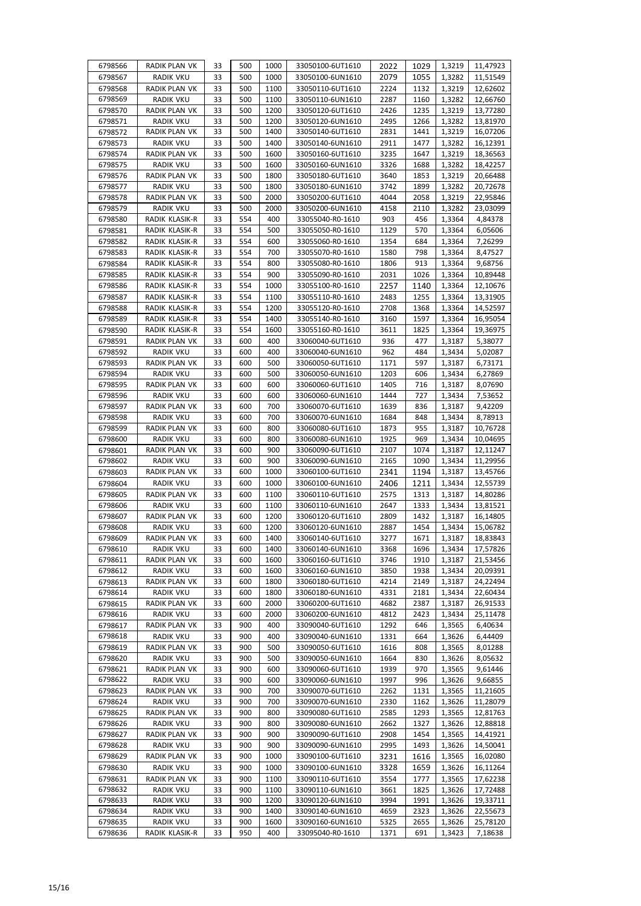| 6798566            | RADIK PLAN VK                     | 33       | 500        | 1000         | 33050100-6UT1610                     | 2022         | 1029         | 1,3219           | 11,47923             |
|--------------------|-----------------------------------|----------|------------|--------------|--------------------------------------|--------------|--------------|------------------|----------------------|
| 6798567            | <b>RADIK VKU</b>                  | 33       | 500        | 1000         | 33050100-6UN1610                     | 2079         | 1055         | 1,3282           | 11,51549             |
| 6798568            | <b>RADIK PLAN VK</b>              | 33       | 500        | 1100         | 33050110-6UT1610                     | 2224         | 1132         | 1,3219           | 12,62602             |
| 6798569            | RADIK VKU                         | 33       | 500        | 1100         | 33050110-6UN1610                     | 2287         | 1160         | 1,3282           | 12,66760             |
| 6798570            | RADIK PLAN VK                     | 33       | 500        | 1200         | 33050120-6UT1610                     | 2426         | 1235         | 1,3219           | 13,77280             |
| 6798571            | <b>RADIK VKU</b>                  | 33       | 500        | 1200         | 33050120-6UN1610                     | 2495         | 1266         | 1,3282           | 13,81970             |
| 6798572            | RADIK PLAN VK                     | 33       | 500        | 1400         | 33050140-6UT1610                     | 2831         | 1441         | 1,3219           | 16,07206             |
| 6798573            | <b>RADIK VKU</b>                  | 33       | 500        | 1400         | 33050140-6UN1610                     | 2911         | 1477         | 1,3282           | 16,12391             |
| 6798574            | RADIK PLAN VK                     | 33       | 500        | 1600         | 33050160-6UT1610                     | 3235         | 1647         | 1,3219           | 18,36563             |
| 6798575            | RADIK VKU                         | 33       | 500        | 1600         | 33050160-6UN1610                     | 3326         | 1688         | 1,3282           | 18,42257             |
| 6798576            | RADIK PLAN VK                     | 33       | 500        | 1800         | 33050180-6UT1610                     | 3640         | 1853         | 1,3219           | 20,66488             |
| 6798577            | <b>RADIK VKU</b>                  | 33       | 500        | 1800         | 33050180-6UN1610                     | 3742         | 1899         | 1,3282           | 20,72678             |
| 6798578            | RADIK PLAN VK                     | 33       | 500        | 2000         | 33050200-6UT1610                     | 4044         | 2058         | 1,3219           | 22,95846             |
| 6798579            | <b>RADIK VKU</b>                  | 33       | 500        | 2000         | 33050200-6UN1610                     | 4158         | 2110         | 1,3282           | 23,03099             |
| 6798580            | RADIK KLASIK-R                    | 33       | 554        | 400          | 33055040-R0-1610                     | 903          | 456          | 1,3364           | 4,84378              |
| 6798581            | RADIK KLASIK-R                    | 33       | 554        | 500          | 33055050-R0-1610                     | 1129         | 570          | 1,3364           | 6,05606              |
| 6798582            | RADIK KLASIK-R                    | 33       | 554        | 600          | 33055060-R0-1610                     | 1354         | 684          | 1,3364           | 7,26299              |
| 6798583            | RADIK KLASIK-R                    | 33       | 554        | 700          | 33055070-R0-1610                     | 1580         | 798          | 1,3364           | 8,47527              |
| 6798584            | RADIK KLASIK-R<br>RADIK KLASIK-R  | 33       | 554        | 800          | 33055080-R0-1610                     | 1806         | 913          | 1,3364           | 9,68756              |
| 6798585            |                                   | 33       | 554        | 900          | 33055090-R0-1610                     | 2031         | 1026         | 1,3364           | 10,89448             |
| 6798586            | RADIK KLASIK-R                    | 33       | 554        | 1000         | 33055100-R0-1610                     | 2257         | 1140         | 1,3364           | 12,10676             |
| 6798587            | RADIK KLASIK-R                    | 33<br>33 | 554<br>554 | 1100<br>1200 | 33055110-R0-1610                     | 2483<br>2708 | 1255         | 1,3364           | 13,31905<br>14,52597 |
| 6798588            | RADIK KLASIK-R<br>RADIK KLASIK-R  | 33       | 554        | 1400         | 33055120-R0-1610<br>33055140-R0-1610 | 3160         | 1368<br>1597 | 1,3364<br>1,3364 | 16,95054             |
| 6798589            |                                   |          |            |              |                                      |              |              |                  |                      |
| 6798590<br>6798591 | RADIK KLASIK-R<br>RADIK PLAN VK   | 33<br>33 | 554<br>600 | 1600<br>400  | 33055160-R0-1610<br>33060040-6UT1610 | 3611<br>936  | 1825<br>477  | 1,3364           | 19,36975<br>5,38077  |
| 6798592            | <b>RADIK VKU</b>                  | 33       | 600        | 400          |                                      | 962          | 484          | 1,3187           |                      |
| 6798593            | RADIK PLAN VK                     | 33       | 600        | 500          | 33060040-6UN1610<br>33060050-6UT1610 | 1171         | 597          | 1,3434<br>1,3187 | 5,02087<br>6,73171   |
| 6798594            | RADIK VKU                         | 33       | 600        | 500          | 33060050-6UN1610                     | 1203         | 606          | 1,3434           | 6,27869              |
| 6798595            | RADIK PLAN VK                     | 33       | 600        | 600          | 33060060-6UT1610                     | 1405         | 716          | 1,3187           | 8,07690              |
| 6798596            | RADIK VKU                         | 33       | 600        | 600          | 33060060-6UN1610                     | 1444         | 727          | 1,3434           | 7,53652              |
| 6798597            | RADIK PLAN VK                     | 33       | 600        | 700          | 33060070-6UT1610                     | 1639         | 836          | 1,3187           | 9,42209              |
| 6798598            | <b>RADIK VKU</b>                  | 33       | 600        | 700          | 33060070-6UN1610                     | 1684         | 848          | 1,3434           | 8,78913              |
| 6798599            | RADIK PLAN VK                     | 33       | 600        | 800          | 33060080-6UT1610                     | 1873         | 955          | 1,3187           | 10,76728             |
| 6798600            | <b>RADIK VKU</b>                  | 33       | 600        | 800          | 33060080-6UN1610                     | 1925         | 969          | 1,3434           | 10,04695             |
| 6798601            | RADIK PLAN VK                     | 33       | 600        | 900          | 33060090-6UT1610                     | 2107         | 1074         | 1,3187           | 12,11247             |
| 6798602            | RADIK VKU                         | 33       | 600        | 900          | 33060090-6UN1610                     | 2165         | 1090         | 1,3434           | 11,29956             |
| 6798603            | RADIK PLAN VK                     | 33       | 600        | 1000         | 33060100-6UT1610                     | 2341         | 1194         | 1,3187           | 13,45766             |
| 6798604            | <b>RADIK VKU</b>                  | 33       | 600        | 1000         | 33060100-6UN1610                     | 2406         | 1211         | 1,3434           | 12,55739             |
| 6798605            | RADIK PLAN VK                     | 33       | 600        | 1100         | 33060110-6UT1610                     | 2575         | 1313         | 1,3187           | 14,80286             |
| 6798606            | RADIK VKU                         | 33       | 600        | 1100         | 33060110-6UN1610                     | 2647         | 1333         | 1,3434           | 13,81521             |
| 6798607            | RADIK PLAN VK                     | 33       | 600        | 1200         | 33060120-6UT1610                     | 2809         | 1432         | 1,3187           | 16,14805             |
| 6798608            | <b>RADIK VKU</b>                  | 33       | 600        | 1200         | 33060120-6UN1610                     | 2887         | 1454         | 1,3434           | 15,06782             |
| 6798609            | RADIK PLAN VK                     | 33       | 600        | 1400         | 33060140-6UT1610                     | 3277         | 1671         | 1,3187           | 18,83843             |
| 6798610            | <b>RADIK VKU</b>                  | 33       | 600        | 1400         | 33060140-6UN1610                     | 3368         | 1696         | 1,3434           | 17,57826             |
| 6798611            | RADIK PLAN VK                     | 33       | 600        | 1600         | 33060160-6UT1610                     | 3746         | 1910         | 1,3187           | 21,53456             |
| 6798612            | RADIK VKU                         | 33       | 600        | 1600         | 33060160-6UN1610                     | 3850         | 1938         | 1,3434           | 20,09391             |
| 6798613            | RADIK PLAN VK                     | 33       | 600        | 1800         | 33060180-6UT1610                     | 4214         | 2149         | 1,3187           | 24,22494             |
| 6798614            | RADIK VKU                         | 33       | 600        | 1800         | 33060180-6UN1610                     | 4331         | 2181         | 1,3434           | 22,60434             |
| 6798615            | RADIK PLAN VK                     | 33       | 600        | 2000         | 33060200-6UT1610                     | 4682         | 2387         | 1,3187           | 26,91533             |
| 6798616            | RADIK VKU                         | 33       | 600        | 2000         | 33060200-6UN1610                     | 4812         | 2423         | 1,3434           | 25,11478             |
| 6798617            | RADIK PLAN VK<br><b>RADIK VKU</b> | 33       | 900<br>900 | 400<br>400   | 33090040-6UT1610                     | 1292         | 646          | 1,3565           | 6,40634              |
| 6798618<br>6798619 | RADIK PLAN VK                     | 33<br>33 | 900        | 500          | 33090040-6UN1610<br>33090050-6UT1610 | 1331<br>1616 | 664<br>808   | 1,3626<br>1,3565 | 6,44409<br>8,01288   |
| 6798620            | RADIK VKU                         | 33       | 900        | 500          | 33090050-6UN1610                     | 1664         | 830          | 1,3626           | 8,05632              |
| 6798621            | RADIK PLAN VK                     | 33       | 900        | 600          | 33090060-6UT1610                     | 1939         | 970          | 1,3565           | 9,61446              |
| 6798622            | RADIK VKU                         | 33       | 900        | 600          | 33090060-6UN1610                     | 1997         | 996          | 1,3626           | 9,66855              |
| 6798623            | RADIK PLAN VK                     | 33       | 900        | 700          | 33090070-6UT1610                     | 2262         | 1131         | 1,3565           | 11,21605             |
| 6798624            | <b>RADIK VKU</b>                  | 33       | 900        | 700          | 33090070-6UN1610                     | 2330         | 1162         | 1,3626           | 11,28079             |
| 6798625            | RADIK PLAN VK                     | 33       | 900        | 800          | 33090080-6UT1610                     | 2585         | 1293         | 1,3565           | 12,81763             |
| 6798626            | RADIK VKU                         | 33       | 900        | 800          | 33090080-6UN1610                     | 2662         | 1327         | 1,3626           | 12,88818             |
| 6798627            | RADIK PLAN VK                     | 33       | 900        | 900          | 33090090-6UT1610                     | 2908         | 1454         | 1,3565           | 14,41921             |
| 6798628            | RADIK VKU                         | 33       | 900        | 900          | 33090090-6UN1610                     | 2995         | 1493         | 1,3626           | 14,50041             |
| 6798629            | RADIK PLAN VK                     | 33       | 900        | 1000         | 33090100-6UT1610                     | 3231         | 1616         | 1,3565           | 16,02080             |
| 6798630            | <b>RADIK VKU</b>                  | 33       | 900        | 1000         | 33090100-6UN1610                     | 3328         | 1659         | 1,3626           | 16,11264             |
| 6798631            | RADIK PLAN VK                     | 33       | 900        | 1100         | 33090110-6UT1610                     | 3554         | 1777         | 1,3565           | 17,62238             |
| 6798632            | RADIK VKU                         | 33       | 900        | 1100         | 33090110-6UN1610                     | 3661         | 1825         | 1,3626           | 17,72488             |
| 6798633            | RADIK VKU                         | 33       | 900        | 1200         | 33090120-6UN1610                     | 3994         | 1991         | 1,3626           | 19,33711             |
| 6798634            | RADIK VKU                         | 33       | 900        | 1400         | 33090140-6UN1610                     | 4659         | 2323         | 1,3626           | 22,55673             |
| 6798635            | RADIK VKU                         | 33       | 900        | 1600         | 33090160-6UN1610                     | 5325         | 2655         | 1,3626           | 25,78120             |
| 6798636            | RADIK KLASIK-R                    | 33       | 950        | 400          | 33095040-R0-1610                     | 1371         | 691          | 1,3423           | 7,18638              |